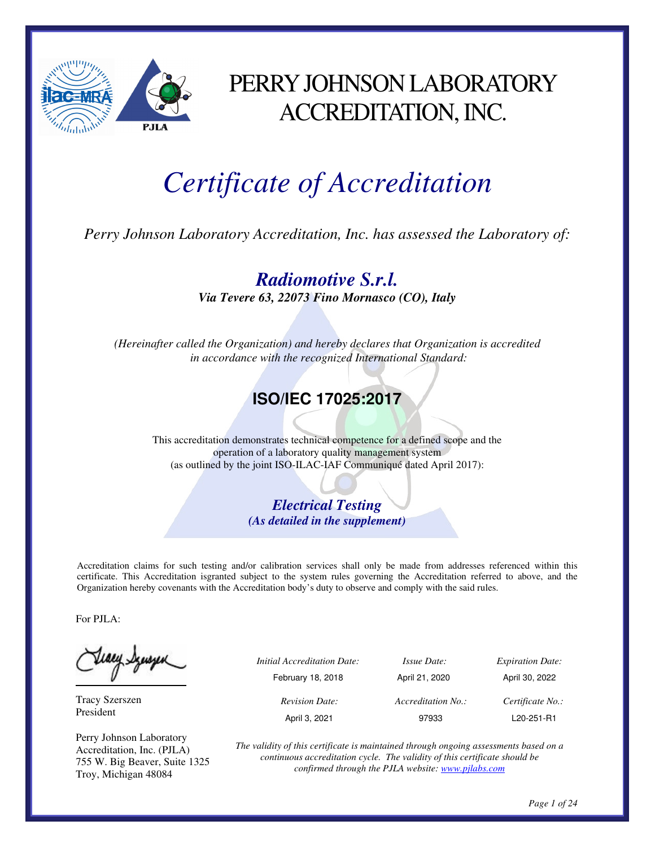

### PERRY JOHNSON LABORATORY ACCREDITATION, INC.

# *Certificate of Accreditation*

*Perry Johnson Laboratory Accreditation, Inc. has assessed the Laboratory of:* 

*Radiomotive S.r.l. Via Tevere 63, 22073 Fino Mornasco (CO), Italy* 

*(Hereinafter called the Organization) and hereby declares that Organization is accredited in accordance with the recognized International Standard:* 

### **ISO/IEC 17025:2017**

This accreditation demonstrates technical competence for a defined scope and the operation of a laboratory quality management system (as outlined by the joint ISO-ILAC-IAF Communiqué dated April 2017):

> *Electrical Testing (As detailed in the supplement)*

Accreditation claims for such testing and/or calibration services shall only be made from addresses referenced within this certificate. This Accreditation isgranted subject to the system rules governing the Accreditation referred to above, and the Organization hereby covenants with the Accreditation body's duty to observe and comply with the said rules.

For PJLA:

teacy Synsyen

Tracy Szerszen President

Perry Johnson Laboratory Accreditation, Inc. (PJLA) 755 W. Big Beaver, Suite 1325 Troy, Michigan 48084

| ٮ | <i>Initial Accreditation Date:</i> | <i>Issue Date:</i> | <b>Expiration Date:</b> |
|---|------------------------------------|--------------------|-------------------------|
|   | February 18, 2018                  | April 21, 2020     | April 30, 2022          |
|   | <b>Revision Date:</b>              | Accreditation No.: | Certificate No.:        |
|   | April 3, 2021                      | 97933              | L20-251-R1              |

*The validity of this certificate is maintained through ongoing assessments based on a continuous accreditation cycle. The validity of this certificate should be confirmed through the PJLA website: www.pjlabs.com*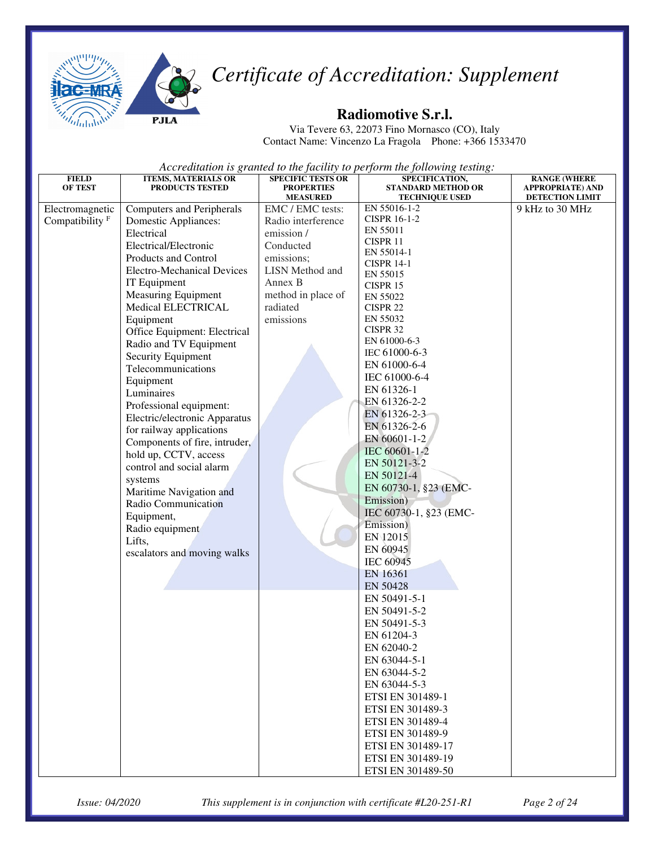



#### **Radiomotive S.r.l.**

Via Tevere 63, 22073 Fino Mornasco (CO), Italy Contact Name: Vincenzo La Fragola Phone: +366 1533470

*Accreditation is granted to the facility to perform the following testing:* 

| <b>FIELD</b>               | <b>ITEMS, MATERIALS OR</b>        | <b>SPECIFIC TESTS OR</b> | SPECIFICATION,                      | <b>RANGE (WHERE</b>     |
|----------------------------|-----------------------------------|--------------------------|-------------------------------------|-------------------------|
| <b>OF TEST</b>             | PRODUCTS TESTED                   | <b>PROPERTIES</b>        | <b>STANDARD METHOD OR</b>           | <b>APPROPRIATE) AND</b> |
|                            |                                   | <b>MEASURED</b>          | <b>TECHNIQUE USED</b>               | DETECTION LIMIT         |
| Electromagnetic            | <b>Computers and Peripherals</b>  | EMC / EMC tests:         | EN 55016-1-2<br><b>CISPR 16-1-2</b> | 9 kHz to 30 MHz         |
| Compatibility <sup>F</sup> | Domestic Appliances:              | Radio interference       | EN 55011                            |                         |
|                            | Electrical                        | emission /               | CISPR 11                            |                         |
|                            | Electrical/Electronic             | Conducted                | EN 55014-1                          |                         |
|                            | Products and Control              | emissions;               | <b>CISPR 14-1</b>                   |                         |
|                            | <b>Electro-Mechanical Devices</b> | <b>LISN</b> Method and   | EN 55015                            |                         |
|                            | IT Equipment                      | Annex B                  | CISPR 15                            |                         |
|                            | <b>Measuring Equipment</b>        | method in place of       | EN 55022                            |                         |
|                            | Medical ELECTRICAL                | radiated                 | CISPR 22                            |                         |
|                            | Equipment                         | emissions                | EN 55032                            |                         |
|                            | Office Equipment: Electrical      |                          | CISPR 32                            |                         |
|                            | Radio and TV Equipment            |                          | EN 61000-6-3                        |                         |
|                            | Security Equipment                |                          | IEC 61000-6-3                       |                         |
|                            | Telecommunications                |                          | EN 61000-6-4                        |                         |
|                            | Equipment                         |                          | IEC 61000-6-4                       |                         |
|                            | Luminaires                        |                          | EN 61326-1                          |                         |
|                            | Professional equipment:           |                          | EN 61326-2-2                        |                         |
|                            | Electric/electronic Apparatus     |                          | EN 61326-2-3                        |                         |
|                            | for railway applications          |                          | EN 61326-2-6                        |                         |
|                            | Components of fire, intruder,     |                          | EN 60601-1-2                        |                         |
|                            | hold up, CCTV, access             |                          | IEC 60601-1-2                       |                         |
|                            | control and social alarm          |                          | EN 50121-3-2                        |                         |
|                            | systems                           |                          | EN 50121-4                          |                         |
|                            | Maritime Navigation and           |                          | EN 60730-1, §23 (EMC-               |                         |
|                            | Radio Communication               |                          | Emission)                           |                         |
|                            | Equipment,                        |                          | IEC 60730-1, §23 (EMC-              |                         |
|                            | Radio equipment                   |                          | Emission)                           |                         |
|                            | Lifts,                            |                          | EN 12015                            |                         |
|                            | escalators and moving walks       |                          | EN 60945                            |                         |
|                            |                                   |                          | IEC 60945                           |                         |
|                            |                                   |                          | EN 16361                            |                         |
|                            |                                   |                          | EN 50428                            |                         |
|                            |                                   |                          | EN 50491-5-1                        |                         |
|                            |                                   |                          | EN 50491-5-2                        |                         |
|                            |                                   |                          | EN 50491-5-3                        |                         |
|                            |                                   |                          | EN 61204-3                          |                         |
|                            |                                   |                          | EN 62040-2                          |                         |
|                            |                                   |                          | EN 63044-5-1                        |                         |
|                            |                                   |                          | EN 63044-5-2                        |                         |
|                            |                                   |                          | EN 63044-5-3                        |                         |
|                            |                                   |                          | ETSI EN 301489-1                    |                         |
|                            |                                   |                          | ETSI EN 301489-3                    |                         |
|                            |                                   |                          | ETSI EN 301489-4                    |                         |
|                            |                                   |                          | ETSI EN 301489-9                    |                         |
|                            |                                   |                          | ETSI EN 301489-17                   |                         |
|                            |                                   |                          | ETSI EN 301489-19                   |                         |
|                            |                                   |                          | ETSI EN 301489-50                   |                         |
|                            |                                   |                          |                                     |                         |

*Issue: 04/2020 This supplement is in conjunction with certificate #L20-251-R1 Page 2 of 24*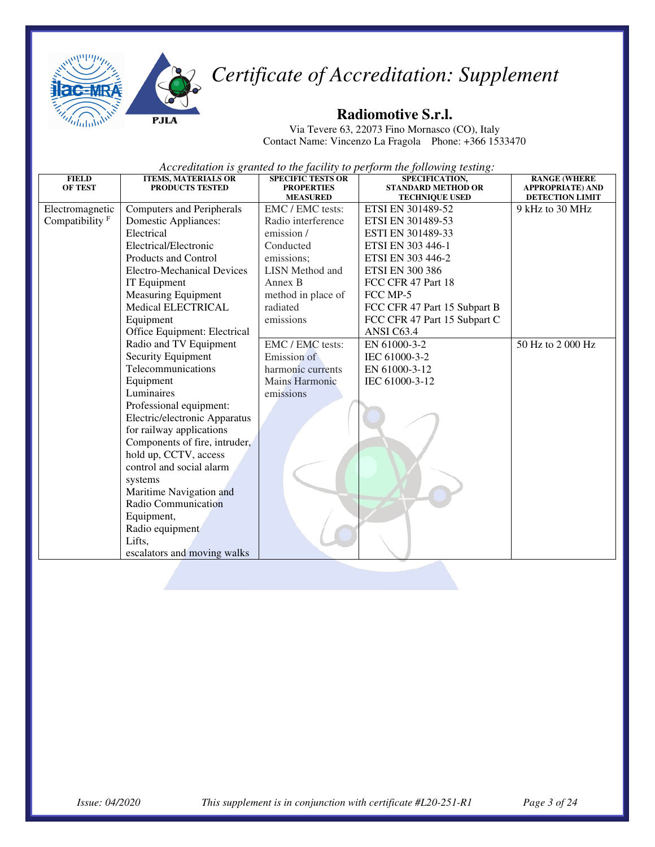



#### **Radiomotive S.r.l.**

Via Tevere 63, 22073 Fino Mornasco (CO), Italy Contact Name: Vincenzo La Fragola Phone: +366 1533470

| <b>FIELD</b><br><b>OF TEST</b> | <b>ITEMS, MATERIALS OR</b><br><b>PRODUCTS TESTED</b> | <b>SPECIFIC TESTS OR</b><br><b>PROPERTIES</b> | SPECIFICATION,<br><b>STANDARD METHOD OR</b> | <b>RANGE (WHERE</b><br><b>APPROPRIATE) AND</b> |
|--------------------------------|------------------------------------------------------|-----------------------------------------------|---------------------------------------------|------------------------------------------------|
|                                |                                                      | <b>MEASURED</b>                               | <b>TECHNIQUE USED</b>                       | <b>DETECTION LIMIT</b>                         |
| Electromagnetic                | <b>Computers and Peripherals</b>                     | EMC / EMC tests:                              | ETSI EN 301489-52                           | 9 kHz to 30 MHz                                |
| Compatibility <sup>F</sup>     | Domestic Appliances:                                 | Radio interference                            | ETSI EN 301489-53                           |                                                |
|                                | Electrical                                           | emission /                                    | ESTI EN 301489-33                           |                                                |
|                                | Electrical/Electronic                                | Conducted                                     | ETSI EN 303 446-1                           |                                                |
|                                | Products and Control                                 | emissions;                                    | ETSI EN 303 446-2                           |                                                |
|                                | <b>Electro-Mechanical Devices</b>                    | <b>LISN</b> Method and                        | <b>ETSI EN 300 386</b>                      |                                                |
|                                | IT Equipment                                         | Annex B                                       | FCC CFR 47 Part 18                          |                                                |
|                                | <b>Measuring Equipment</b>                           | method in place of                            | FCC MP-5                                    |                                                |
|                                | Medical ELECTRICAL                                   | radiated                                      | FCC CFR 47 Part 15 Subpart B                |                                                |
|                                | Equipment                                            | emissions                                     | FCC CFR 47 Part 15 Subpart C                |                                                |
|                                | Office Equipment: Electrical                         |                                               | ANSI C63.4                                  |                                                |
|                                | Radio and TV Equipment                               | EMC / EMC tests:                              | EN 61000-3-2                                | 50 Hz to 2 000 Hz                              |
|                                | Security Equipment                                   | Emission of                                   | IEC 61000-3-2                               |                                                |
|                                | Telecommunications                                   | harmonic currents                             | EN 61000-3-12                               |                                                |
|                                | Equipment                                            | <b>Mains Harmonic</b>                         | IEC 61000-3-12                              |                                                |
|                                | Luminaires                                           | emissions                                     |                                             |                                                |
|                                | Professional equipment:                              |                                               |                                             |                                                |
|                                | Electric/electronic Apparatus                        |                                               |                                             |                                                |
|                                | for railway applications                             |                                               |                                             |                                                |
|                                | Components of fire, intruder,                        |                                               |                                             |                                                |
|                                | hold up, CCTV, access                                |                                               |                                             |                                                |
|                                | control and social alarm                             |                                               |                                             |                                                |
|                                | systems                                              |                                               |                                             |                                                |
|                                | Maritime Navigation and                              |                                               |                                             |                                                |
|                                | Radio Communication                                  |                                               |                                             |                                                |
|                                | Equipment,                                           |                                               |                                             |                                                |
|                                | Radio equipment                                      |                                               |                                             |                                                |
|                                | Lifts,                                               |                                               |                                             |                                                |
|                                | escalators and moving walks                          |                                               |                                             |                                                |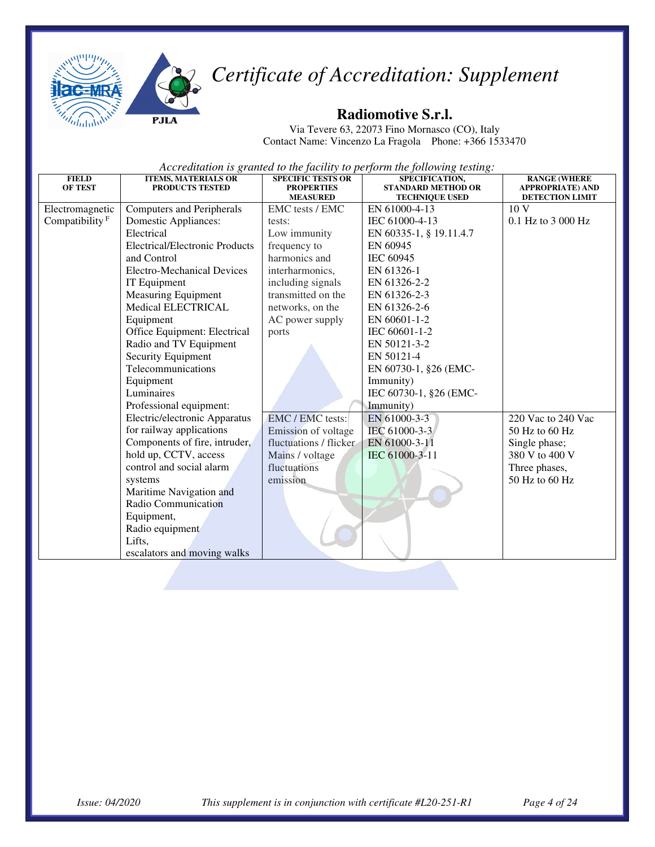



#### **Radiomotive S.r.l.**

Via Tevere 63, 22073 Fino Mornasco (CO), Italy Contact Name: Vincenzo La Fragola Phone: +366 1533470

| <b>FIELD</b><br><b>OF TEST</b> | <b>ITEMS, MATERIALS OR</b><br><b>PRODUCTS TESTED</b> | <b>SPECIFIC TESTS OR</b><br><b>PROPERTIES</b> | SPECIFICATION,<br><b>STANDARD METHOD OR</b> | <b>RANGE (WHERE</b><br><b>APPROPRIATE) AND</b> |
|--------------------------------|------------------------------------------------------|-----------------------------------------------|---------------------------------------------|------------------------------------------------|
|                                |                                                      | <b>MEASURED</b>                               | <b>TECHNIQUE USED</b>                       | <b>DETECTION LIMIT</b>                         |
| Electromagnetic                | Computers and Peripherals                            | EMC tests / EMC                               | EN 61000-4-13                               | 10 <sub>V</sub>                                |
| Compatibility $F$              | Domestic Appliances:                                 | tests:                                        | IEC 61000-4-13                              | 0.1 Hz to 3 000 Hz                             |
|                                | Electrical                                           | Low immunity                                  | EN 60335-1, § 19.11.4.7                     |                                                |
|                                | <b>Electrical/Electronic Products</b>                | frequency to                                  | EN 60945                                    |                                                |
|                                | and Control                                          | harmonics and                                 | IEC 60945                                   |                                                |
|                                | Electro-Mechanical Devices                           | interharmonics,                               | EN 61326-1                                  |                                                |
|                                | IT Equipment                                         | including signals                             | EN 61326-2-2                                |                                                |
|                                | <b>Measuring Equipment</b>                           | transmitted on the                            | EN 61326-2-3                                |                                                |
|                                | <b>Medical ELECTRICAL</b>                            | networks, on the                              | EN 61326-2-6                                |                                                |
|                                | Equipment                                            | AC power supply                               | EN 60601-1-2                                |                                                |
|                                | Office Equipment: Electrical                         | ports                                         | IEC 60601-1-2                               |                                                |
|                                | Radio and TV Equipment                               |                                               | EN 50121-3-2                                |                                                |
|                                | Security Equipment                                   |                                               | EN 50121-4                                  |                                                |
|                                | Telecommunications                                   |                                               | EN 60730-1, §26 (EMC-                       |                                                |
|                                | Equipment                                            |                                               | Immunity)                                   |                                                |
|                                | Luminaires                                           |                                               | IEC 60730-1, §26 (EMC-                      |                                                |
|                                | Professional equipment:                              |                                               | Immunity)                                   |                                                |
|                                | Electric/electronic Apparatus                        | EMC / EMC tests:                              | EN 61000-3-3                                | 220 Vac to 240 Vac                             |
|                                | for railway applications                             | Emission of voltage                           | IEC 61000-3-3                               | $50$ Hz to 60 Hz                               |
|                                | Components of fire, intruder,                        | fluctuations / flicker                        | EN 61000-3-11                               | Single phase;                                  |
|                                | hold up, CCTV, access                                | Mains / voltage                               | IEC 61000-3-11                              | 380 V to 400 V                                 |
|                                | control and social alarm                             | fluctuations                                  |                                             | Three phases,                                  |
|                                | systems                                              | emission                                      |                                             | 50 Hz to 60 Hz                                 |
|                                | Maritime Navigation and                              |                                               |                                             |                                                |
|                                | Radio Communication                                  |                                               |                                             |                                                |
|                                | Equipment,                                           |                                               |                                             |                                                |
|                                | Radio equipment                                      |                                               |                                             |                                                |
|                                | Lifts,                                               |                                               |                                             |                                                |
|                                | escalators and moving walks                          |                                               |                                             |                                                |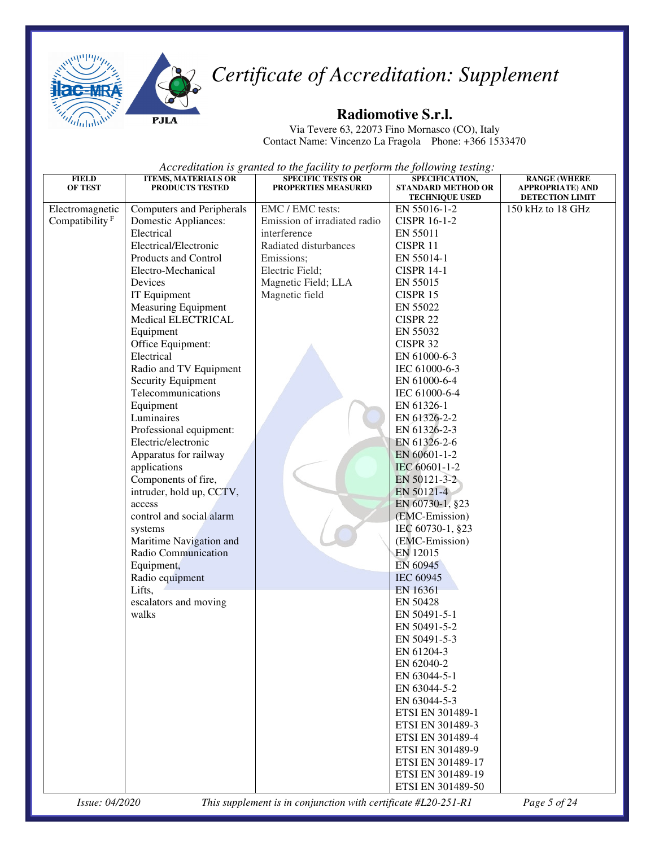



#### **Radiomotive S.r.l.**

Via Tevere 63, 22073 Fino Mornasco (CO), Italy Contact Name: Vincenzo La Fragola Phone: +366 1533470

*Accreditation is granted to the facility to perform the following testing:* 

| <b>FIELD</b><br><b>OF TEST</b> | <b>ITEMS, MATERIALS OR</b><br><b>PRODUCTS TESTED</b> | <b>SPECIFIC TESTS OR</b><br>PROPERTIES MEASURED | SPECIFICATION,<br><b>STANDARD METHOD OR</b> | <b>RANGE (WHERE</b><br><b>APPROPRIATE) AND</b> |
|--------------------------------|------------------------------------------------------|-------------------------------------------------|---------------------------------------------|------------------------------------------------|
|                                |                                                      |                                                 | <b>TECHNIQUE USED</b>                       | DETECTION LIMIT                                |
| Electromagnetic                | Computers and Peripherals                            | EMC / EMC tests:                                | EN 55016-1-2                                | 150 kHz to 18 GHz                              |
| Compatibility <sup>F</sup>     | Domestic Appliances:                                 | Emission of irradiated radio                    | <b>CISPR 16-1-2</b>                         |                                                |
|                                | Electrical                                           | interference                                    | EN 55011                                    |                                                |
|                                | Electrical/Electronic                                | Radiated disturbances                           | CISPR 11                                    |                                                |
|                                | Products and Control                                 | Emissions;                                      | EN 55014-1                                  |                                                |
|                                | Electro-Mechanical                                   | Electric Field;                                 | <b>CISPR 14-1</b>                           |                                                |
|                                | Devices                                              | Magnetic Field; LLA                             | EN 55015                                    |                                                |
|                                | IT Equipment                                         | Magnetic field                                  | CISPR 15                                    |                                                |
|                                | <b>Measuring Equipment</b>                           |                                                 | EN 55022                                    |                                                |
|                                | Medical ELECTRICAL                                   |                                                 | CISPR 22                                    |                                                |
|                                | Equipment                                            |                                                 | EN 55032                                    |                                                |
|                                | Office Equipment:                                    |                                                 | CISPR 32                                    |                                                |
|                                | Electrical                                           |                                                 | EN 61000-6-3                                |                                                |
|                                | Radio and TV Equipment                               |                                                 | IEC 61000-6-3                               |                                                |
|                                | Security Equipment                                   |                                                 | EN 61000-6-4                                |                                                |
|                                | Telecommunications                                   |                                                 | IEC 61000-6-4                               |                                                |
|                                | Equipment                                            |                                                 | EN 61326-1                                  |                                                |
|                                | Luminaires                                           |                                                 | EN 61326-2-2                                |                                                |
|                                | Professional equipment:                              |                                                 | EN 61326-2-3                                |                                                |
|                                | Electric/electronic                                  |                                                 | EN 61326-2-6                                |                                                |
|                                | Apparatus for railway                                |                                                 | EN 60601-1-2                                |                                                |
|                                | applications                                         |                                                 | IEC 60601-1-2                               |                                                |
|                                | Components of fire,                                  |                                                 | EN 50121-3-2                                |                                                |
|                                | intruder, hold up, CCTV,                             |                                                 | EN 50121-4                                  |                                                |
|                                | access                                               |                                                 | EN 60730-1, §23                             |                                                |
|                                | control and social alarm                             |                                                 | (EMC-Emission)                              |                                                |
|                                | systems                                              |                                                 | IEC 60730-1, §23                            |                                                |
|                                | Maritime Navigation and                              |                                                 | (EMC-Emission)                              |                                                |
|                                | Radio Communication                                  |                                                 | EN 12015                                    |                                                |
|                                | Equipment,                                           |                                                 | EN 60945                                    |                                                |
|                                | Radio equipment                                      |                                                 | <b>IEC 60945</b>                            |                                                |
|                                | Lifts,                                               |                                                 | EN 16361                                    |                                                |
|                                | escalators and moving                                |                                                 | EN 50428                                    |                                                |
|                                | walks                                                |                                                 | EN 50491-5-1                                |                                                |
|                                |                                                      |                                                 | EN 50491-5-2                                |                                                |
|                                |                                                      |                                                 | EN 50491-5-3                                |                                                |
|                                |                                                      |                                                 | EN 61204-3                                  |                                                |
|                                |                                                      |                                                 | EN 62040-2                                  |                                                |
|                                |                                                      |                                                 | EN 63044-5-1                                |                                                |
|                                |                                                      |                                                 | EN 63044-5-2                                |                                                |
|                                |                                                      |                                                 | EN 63044-5-3                                |                                                |
|                                |                                                      |                                                 | ETSI EN 301489-1                            |                                                |
|                                |                                                      |                                                 | ETSI EN 301489-3                            |                                                |
|                                |                                                      |                                                 | ETSI EN 301489-4                            |                                                |
|                                |                                                      |                                                 | ETSI EN 301489-9                            |                                                |
|                                |                                                      |                                                 | ETSI EN 301489-17                           |                                                |
|                                |                                                      |                                                 | ETSI EN 301489-19                           |                                                |
|                                |                                                      |                                                 | ETSI EN 301489-50                           |                                                |

*Issue: 04/2020 This supplement is in conjunction with certificate #L20-251-R1 Page 5 of 24*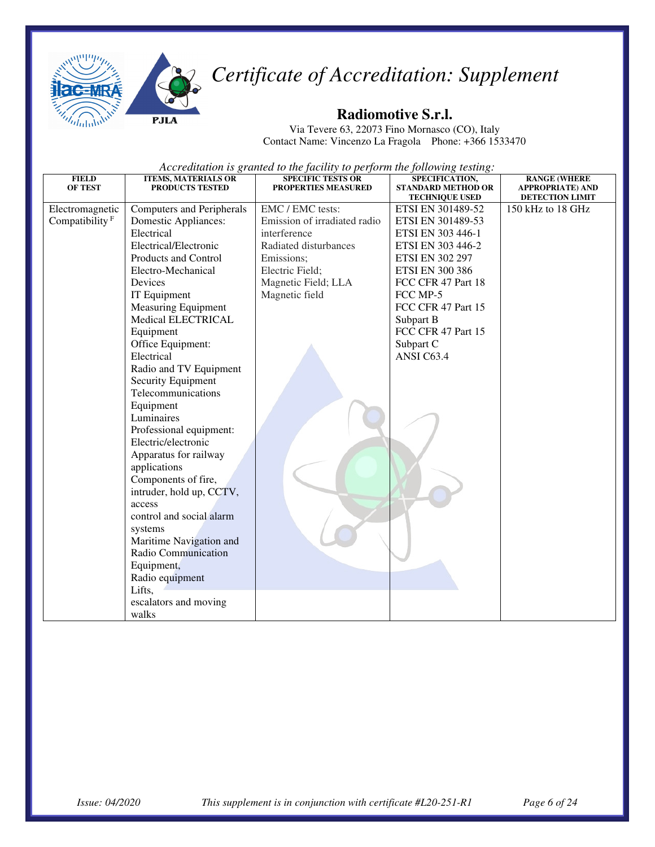

#### **Radiomotive S.r.l.**

Via Tevere 63, 22073 Fino Mornasco (CO), Italy Contact Name: Vincenzo La Fragola Phone: +366 1533470

| <b>FIELD</b><br><b>OF TEST</b> | <b>ITEMS, MATERIALS OR</b><br><b>PRODUCTS TESTED</b> | <b>SPECIFIC TESTS OR</b><br><b>PROPERTIES MEASURED</b> | SPECIFICATION,<br><b>STANDARD METHOD OR</b><br><b>TECHNIQUE USED</b> | <b>RANGE (WHERE</b><br><b>APPROPRIATE) AND</b><br><b>DETECTION LIMIT</b> |
|--------------------------------|------------------------------------------------------|--------------------------------------------------------|----------------------------------------------------------------------|--------------------------------------------------------------------------|
| Electromagnetic                | <b>Computers and Peripherals</b>                     | EMC / EMC tests:                                       | ETSI EN 301489-52                                                    | 150 kHz to 18 GHz                                                        |
| Compatibility <sup>F</sup>     | Domestic Appliances:                                 | Emission of irradiated radio                           | ETSI EN 301489-53                                                    |                                                                          |
|                                | Electrical                                           | interference                                           | ETSI EN 303 446-1                                                    |                                                                          |
|                                | Electrical/Electronic                                | Radiated disturbances                                  | ETSI EN 303 446-2                                                    |                                                                          |
|                                | Products and Control                                 | Emissions;                                             | <b>ETSI EN 302 297</b>                                               |                                                                          |
|                                | Electro-Mechanical                                   | Electric Field;                                        | <b>ETSI EN 300 386</b>                                               |                                                                          |
|                                | Devices                                              | Magnetic Field; LLA                                    | FCC CFR 47 Part 18                                                   |                                                                          |
|                                | IT Equipment                                         | Magnetic field                                         | FCC MP-5                                                             |                                                                          |
|                                | <b>Measuring Equipment</b>                           |                                                        | FCC CFR 47 Part 15                                                   |                                                                          |
|                                | <b>Medical ELECTRICAL</b>                            |                                                        | Subpart B                                                            |                                                                          |
|                                | Equipment                                            |                                                        | FCC CFR 47 Part 15                                                   |                                                                          |
|                                | Office Equipment:                                    |                                                        | Subpart C                                                            |                                                                          |
|                                | Electrical                                           |                                                        | ANSI C63.4                                                           |                                                                          |
|                                | Radio and TV Equipment                               |                                                        |                                                                      |                                                                          |
|                                | Security Equipment                                   |                                                        |                                                                      |                                                                          |
|                                | Telecommunications                                   |                                                        |                                                                      |                                                                          |
|                                | Equipment                                            |                                                        |                                                                      |                                                                          |
|                                | Luminaires                                           |                                                        |                                                                      |                                                                          |
|                                | Professional equipment:                              |                                                        |                                                                      |                                                                          |
|                                | Electric/electronic                                  |                                                        |                                                                      |                                                                          |
|                                | Apparatus for railway                                |                                                        |                                                                      |                                                                          |
|                                | applications                                         |                                                        |                                                                      |                                                                          |
|                                | Components of fire,                                  |                                                        |                                                                      |                                                                          |
|                                | intruder, hold up, CCTV,                             |                                                        |                                                                      |                                                                          |
|                                | access                                               |                                                        |                                                                      |                                                                          |
|                                | control and social alarm                             |                                                        |                                                                      |                                                                          |
|                                | systems                                              |                                                        |                                                                      |                                                                          |
|                                | Maritime Navigation and                              |                                                        |                                                                      |                                                                          |
|                                | Radio Communication                                  |                                                        |                                                                      |                                                                          |
|                                | Equipment,                                           |                                                        |                                                                      |                                                                          |
|                                | Radio equipment                                      |                                                        |                                                                      |                                                                          |
|                                | Lifts,                                               |                                                        |                                                                      |                                                                          |
|                                | escalators and moving                                |                                                        |                                                                      |                                                                          |
|                                | walks                                                |                                                        |                                                                      |                                                                          |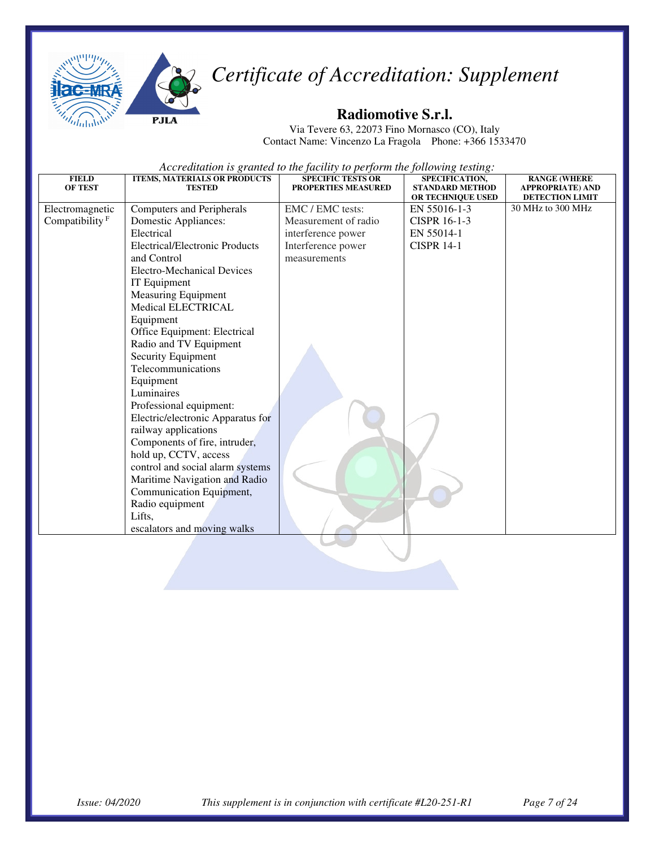



#### **Radiomotive S.r.l.**

Via Tevere 63, 22073 Fino Mornasco (CO), Italy Contact Name: Vincenzo La Fragola Phone: +366 1533470

| <b>FIELD</b><br><b>OF TEST</b> | <b>ITEMS, MATERIALS OR PRODUCTS</b><br><b>TESTED</b> | <b>SPECIFIC TESTS OR</b><br>PROPERTIES MEASURED | SPECIFICATION,<br><b>STANDARD METHOD</b><br>OR TECHNIQUE USED | <b>RANGE (WHERE</b><br><b>APPROPRIATE) AND</b><br><b>DETECTION LIMIT</b> |
|--------------------------------|------------------------------------------------------|-------------------------------------------------|---------------------------------------------------------------|--------------------------------------------------------------------------|
| Electromagnetic                | Computers and Peripherals                            | EMC / EMC tests:                                | EN 55016-1-3                                                  | 30 MHz to 300 MHz                                                        |
| Compatibility <sup>F</sup>     | <b>Domestic Appliances:</b>                          | Measurement of radio                            | <b>CISPR 16-1-3</b>                                           |                                                                          |
|                                | Electrical                                           | interference power                              | EN 55014-1                                                    |                                                                          |
|                                | <b>Electrical/Electronic Products</b>                | Interference power                              | <b>CISPR 14-1</b>                                             |                                                                          |
|                                | and Control                                          | measurements                                    |                                                               |                                                                          |
|                                | <b>Electro-Mechanical Devices</b>                    |                                                 |                                                               |                                                                          |
|                                | IT Equipment                                         |                                                 |                                                               |                                                                          |
|                                | <b>Measuring Equipment</b>                           |                                                 |                                                               |                                                                          |
|                                | Medical ELECTRICAL                                   |                                                 |                                                               |                                                                          |
|                                | Equipment                                            |                                                 |                                                               |                                                                          |
|                                | Office Equipment: Electrical                         |                                                 |                                                               |                                                                          |
|                                | Radio and TV Equipment                               |                                                 |                                                               |                                                                          |
|                                | Security Equipment                                   |                                                 |                                                               |                                                                          |
|                                | Telecommunications                                   |                                                 |                                                               |                                                                          |
|                                | Equipment                                            |                                                 |                                                               |                                                                          |
|                                | Luminaires                                           |                                                 |                                                               |                                                                          |
|                                | Professional equipment:                              |                                                 |                                                               |                                                                          |
|                                | Electric/electronic Apparatus for                    |                                                 |                                                               |                                                                          |
|                                | railway applications                                 |                                                 |                                                               |                                                                          |
|                                | Components of fire, intruder,                        |                                                 |                                                               |                                                                          |
|                                | hold up, CCTV, access                                |                                                 |                                                               |                                                                          |
|                                | control and social alarm systems                     |                                                 |                                                               |                                                                          |
|                                | Maritime Navigation and Radio                        |                                                 |                                                               |                                                                          |
|                                | Communication Equipment,                             |                                                 |                                                               |                                                                          |
|                                | Radio equipment                                      |                                                 |                                                               |                                                                          |
|                                | Lifts,                                               |                                                 |                                                               |                                                                          |
|                                | escalators and moving walks                          |                                                 |                                                               |                                                                          |
|                                |                                                      |                                                 |                                                               |                                                                          |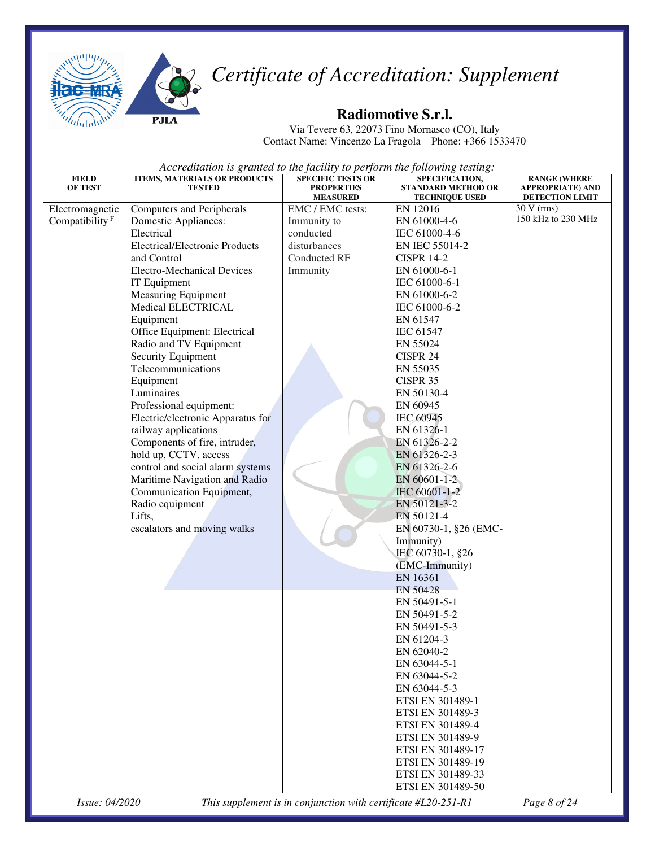



#### **Radiomotive S.r.l.**

Via Tevere 63, 22073 Fino Mornasco (CO), Italy Contact Name: Vincenzo La Fragola Phone: +366 1533470

| <b>FIELD</b>                                  | <b>ITEMS, MATERIALS OR PRODUCTS</b>   | <b>SPECIFIC TESTS OR</b>                                       | SPECIFICATION,            | <b>RANGE (WHERE</b>                    |
|-----------------------------------------------|---------------------------------------|----------------------------------------------------------------|---------------------------|----------------------------------------|
| <b>OF TEST</b>                                | <b>TESTED</b>                         | <b>PROPERTIES</b>                                              | <b>STANDARD METHOD OR</b> | <b>APPROPRIATE) AND</b>                |
|                                               |                                       | <b>MEASURED</b>                                                | <b>TECHNIQUE USED</b>     | <b>DETECTION LIMIT</b><br>$30 V$ (rms) |
| Electromagnetic<br>Compatibility <sup>F</sup> | <b>Computers and Peripherals</b>      | EMC / EMC tests:                                               | EN 12016<br>EN 61000-4-6  | 150 kHz to 230 MHz                     |
|                                               | Domestic Appliances:                  | Immunity to                                                    |                           |                                        |
|                                               | Electrical                            | conducted                                                      | IEC 61000-4-6             |                                        |
|                                               | <b>Electrical/Electronic Products</b> | disturbances                                                   | EN IEC 55014-2            |                                        |
|                                               | and Control                           | <b>Conducted RF</b>                                            | <b>CISPR 14-2</b>         |                                        |
|                                               | <b>Electro-Mechanical Devices</b>     | Immunity                                                       | EN 61000-6-1              |                                        |
|                                               | IT Equipment                          |                                                                | IEC 61000-6-1             |                                        |
|                                               | <b>Measuring Equipment</b>            |                                                                | EN 61000-6-2              |                                        |
|                                               | Medical ELECTRICAL                    |                                                                | IEC 61000-6-2             |                                        |
|                                               | Equipment                             |                                                                | EN 61547                  |                                        |
|                                               | Office Equipment: Electrical          |                                                                | IEC 61547                 |                                        |
|                                               | Radio and TV Equipment                |                                                                | EN 55024                  |                                        |
|                                               | Security Equipment                    |                                                                | CISPR 24                  |                                        |
|                                               | Telecommunications                    |                                                                | EN 55035                  |                                        |
|                                               | Equipment                             |                                                                | CISPR 35                  |                                        |
|                                               | Luminaires                            |                                                                | EN 50130-4                |                                        |
|                                               | Professional equipment:               |                                                                | EN 60945                  |                                        |
|                                               | Electric/electronic Apparatus for     |                                                                | IEC 60945                 |                                        |
|                                               | railway applications                  |                                                                | EN 61326-1                |                                        |
|                                               | Components of fire, intruder,         |                                                                | EN 61326-2-2              |                                        |
|                                               | hold up, CCTV, access                 |                                                                | EN 61326-2-3              |                                        |
|                                               | control and social alarm systems      |                                                                | EN 61326-2-6              |                                        |
|                                               | Maritime Navigation and Radio         |                                                                | EN 60601-1-2              |                                        |
|                                               | Communication Equipment,              |                                                                | IEC 60601-1-2             |                                        |
|                                               | Radio equipment                       |                                                                | EN 50121-3-2              |                                        |
|                                               | Lifts,                                |                                                                | EN 50121-4                |                                        |
|                                               | escalators and moving walks           |                                                                | EN 60730-1, §26 (EMC-     |                                        |
|                                               |                                       |                                                                | Immunity)                 |                                        |
|                                               |                                       |                                                                | IEC 60730-1, §26          |                                        |
|                                               |                                       |                                                                | (EMC-Immunity)            |                                        |
|                                               |                                       |                                                                | EN 16361                  |                                        |
|                                               |                                       |                                                                | <b>EN 50428</b>           |                                        |
|                                               |                                       |                                                                | EN 50491-5-1              |                                        |
|                                               |                                       |                                                                | EN 50491-5-2              |                                        |
|                                               |                                       |                                                                | EN 50491-5-3              |                                        |
|                                               |                                       |                                                                | EN 61204-3                |                                        |
|                                               |                                       |                                                                | EN 62040-2                |                                        |
|                                               |                                       |                                                                | EN 63044-5-1              |                                        |
|                                               |                                       |                                                                | EN 63044-5-2              |                                        |
|                                               |                                       |                                                                | EN 63044-5-3              |                                        |
|                                               |                                       |                                                                | ETSI EN 301489-1          |                                        |
|                                               |                                       |                                                                | ETSI EN 301489-3          |                                        |
|                                               |                                       |                                                                | ETSI EN 301489-4          |                                        |
|                                               |                                       |                                                                | ETSI EN 301489-9          |                                        |
|                                               |                                       |                                                                |                           |                                        |
|                                               |                                       |                                                                | ETSI EN 301489-17         |                                        |
|                                               |                                       |                                                                | ETSI EN 301489-19         |                                        |
|                                               |                                       |                                                                | ETSI EN 301489-33         |                                        |
|                                               |                                       |                                                                | ETSI EN 301489-50         |                                        |
| Issue: 04/2020                                |                                       | This supplement is in conjunction with certificate #L20-251-R1 |                           | Page 8 of 24                           |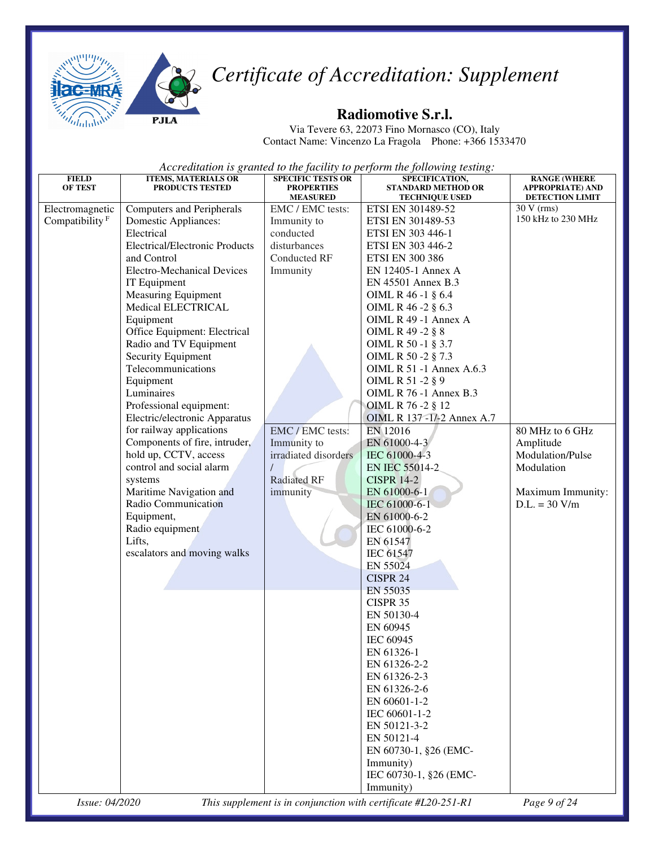



#### **Radiomotive S.r.l.**

Via Tevere 63, 22073 Fino Mornasco (CO), Italy Contact Name: Vincenzo La Fragola Phone: +366 1533470

| <b>FIELD</b>               | <b>ITEMS, MATERIALS OR</b>                        | <b>SPECIFIC TESTS OR</b>             | SPECIFICATION,                                                 | <b>RANGE (WHERE</b>                        |
|----------------------------|---------------------------------------------------|--------------------------------------|----------------------------------------------------------------|--------------------------------------------|
| <b>OF TEST</b>             | PRODUCTS TESTED                                   | <b>PROPERTIES</b><br><b>MEASURED</b> | <b>STANDARD METHOD OR</b>                                      | <b>APPROPRIATE) AND</b><br>DETECTION LIMIT |
| Electromagnetic            | <b>Computers and Peripherals</b>                  | EMC / EMC tests:                     | <b>TECHNIQUE USED</b><br>ETSI EN 301489-52                     | $30 V$ (rms)                               |
| Compatibility <sup>F</sup> | Domestic Appliances:                              | Immunity to                          | ETSI EN 301489-53                                              | 150 kHz to 230 MHz                         |
|                            | Electrical                                        | conducted                            | ETSI EN 303 446-1                                              |                                            |
|                            | <b>Electrical/Electronic Products</b>             | disturbances                         | ETSI EN 303 446-2                                              |                                            |
|                            | and Control                                       | Conducted RF                         | <b>ETSI EN 300 386</b>                                         |                                            |
|                            | <b>Electro-Mechanical Devices</b>                 | Immunity                             | EN 12405-1 Annex A                                             |                                            |
|                            | IT Equipment                                      |                                      | EN 45501 Annex B.3                                             |                                            |
|                            | Measuring Equipment                               |                                      | OIML R 46 -1 § 6.4                                             |                                            |
|                            | Medical ELECTRICAL                                |                                      | OIML R 46 -2 § 6.3                                             |                                            |
|                            | Equipment                                         |                                      | OIML R 49 -1 Annex A                                           |                                            |
|                            | Office Equipment: Electrical                      |                                      | OIML R 49 -2 § 8                                               |                                            |
|                            | Radio and TV Equipment                            |                                      | OIML R 50 -1 § 3.7                                             |                                            |
|                            | Security Equipment                                |                                      | OIML R 50 -2 § 7.3                                             |                                            |
|                            | Telecommunications                                |                                      | OIML R 51 -1 Annex A.6.3                                       |                                            |
|                            | Equipment                                         |                                      | OIML R 51 -2 § 9                                               |                                            |
|                            | Luminaires                                        |                                      | <b>OIML R 76 -1 Annex B.3</b>                                  |                                            |
|                            | Professional equipment:                           |                                      | OIML R 76 -2 § 12                                              |                                            |
|                            | Electric/electronic Apparatus                     |                                      | OIML R 137 -1/-2 Annex A.7                                     |                                            |
|                            | for railway applications                          | EMC / EMC tests:                     |                                                                | 80 MHz to 6 GHz                            |
|                            | Components of fire, intruder,                     |                                      | EN 12016                                                       |                                            |
|                            |                                                   | Immunity to                          | EN 61000-4-3                                                   | Amplitude<br>Modulation/Pulse              |
|                            | hold up, CCTV, access<br>control and social alarm | irradiated disorders                 | IEC 61000-4-3                                                  |                                            |
|                            |                                                   | <b>Radiated RF</b>                   | <b>EN IEC 55014-2</b><br><b>CISPR 14-2</b>                     | Modulation                                 |
|                            | systems                                           |                                      |                                                                |                                            |
|                            | Maritime Navigation and<br>Radio Communication    | immunity                             | EN 61000-6-1                                                   | Maximum Immunity:                          |
|                            |                                                   |                                      | IEC 61000-6-1                                                  | $D.L. = 30 V/m$                            |
|                            | Equipment,                                        |                                      | EN 61000-6-2                                                   |                                            |
|                            | Radio equipment                                   |                                      | IEC 61000-6-2                                                  |                                            |
|                            | Lifts,                                            |                                      | EN 61547                                                       |                                            |
|                            | escalators and moving walks                       |                                      | <b>IEC 61547</b>                                               |                                            |
|                            |                                                   |                                      | EN 55024                                                       |                                            |
|                            |                                                   |                                      | <b>CISPR 24</b>                                                |                                            |
|                            |                                                   |                                      | EN 55035                                                       |                                            |
|                            |                                                   |                                      | CISPR 35                                                       |                                            |
|                            |                                                   |                                      | EN 50130-4                                                     |                                            |
|                            |                                                   |                                      | EN 60945                                                       |                                            |
|                            |                                                   |                                      | IEC 60945                                                      |                                            |
|                            |                                                   |                                      | EN 61326-1                                                     |                                            |
|                            |                                                   |                                      | EN 61326-2-2                                                   |                                            |
|                            |                                                   |                                      | EN 61326-2-3                                                   |                                            |
|                            |                                                   |                                      | EN 61326-2-6                                                   |                                            |
|                            |                                                   |                                      | EN 60601-1-2                                                   |                                            |
|                            |                                                   |                                      | IEC 60601-1-2                                                  |                                            |
|                            |                                                   |                                      | EN 50121-3-2                                                   |                                            |
|                            |                                                   |                                      | EN 50121-4                                                     |                                            |
|                            |                                                   |                                      | EN 60730-1, §26 (EMC-                                          |                                            |
|                            |                                                   |                                      | Immunity)                                                      |                                            |
|                            |                                                   |                                      | IEC 60730-1, §26 (EMC-                                         |                                            |
|                            |                                                   |                                      | Immunity)                                                      |                                            |
| Issue: 04/2020             |                                                   |                                      | This supplement is in conjunction with certificate #L20-251-R1 | Page 9 of 24                               |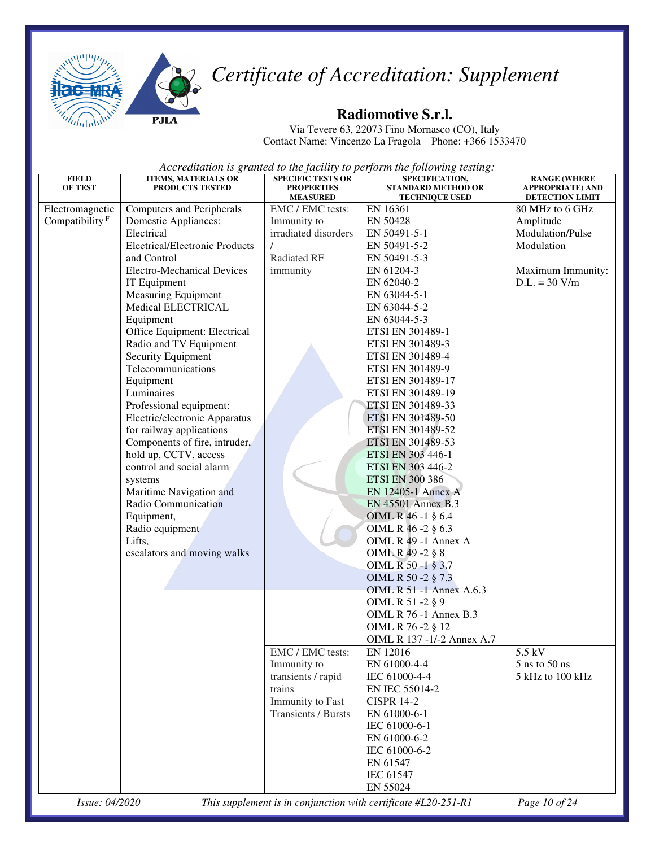



#### **Radiomotive S.r.l.**

Via Tevere 63, 22073 Fino Mornasco (CO), Italy Contact Name: Vincenzo La Fragola Phone: +366 1533470

| <b>FIELD</b>               | <b>ITEMS, MATERIALS OR</b>            | <b>SPECIFIC TESTS OR</b>             | SPECIFICATION,                                                 | <b>RANGE (WHERE</b>                        |
|----------------------------|---------------------------------------|--------------------------------------|----------------------------------------------------------------|--------------------------------------------|
| <b>OF TEST</b>             | PRODUCTS TESTED                       | <b>PROPERTIES</b><br><b>MEASURED</b> | <b>STANDARD METHOD OR</b><br><b>TECHNIQUE USED</b>             | <b>APPROPRIATE) AND</b><br>DETECTION LIMIT |
| Electromagnetic            | <b>Computers and Peripherals</b>      | EMC / EMC tests:                     | EN 16361                                                       | 80 MHz to 6 GHz                            |
| Compatibility <sup>F</sup> | Domestic Appliances:                  | Immunity to                          | EN 50428                                                       | Amplitude                                  |
|                            | Electrical                            | irradiated disorders                 | EN 50491-5-1                                                   | Modulation/Pulse                           |
|                            | <b>Electrical/Electronic Products</b> |                                      | EN 50491-5-2                                                   | Modulation                                 |
|                            | and Control                           | Radiated RF                          | EN 50491-5-3                                                   |                                            |
|                            | <b>Electro-Mechanical Devices</b>     | immunity                             | EN 61204-3                                                     | Maximum Immunity:                          |
|                            | IT Equipment                          |                                      | EN 62040-2                                                     | $D.L. = 30 V/m$                            |
|                            | <b>Measuring Equipment</b>            |                                      | EN 63044-5-1                                                   |                                            |
|                            | Medical ELECTRICAL                    |                                      | EN 63044-5-2                                                   |                                            |
|                            | Equipment                             |                                      | EN 63044-5-3                                                   |                                            |
|                            | Office Equipment: Electrical          |                                      | ETSI EN 301489-1                                               |                                            |
|                            | Radio and TV Equipment                |                                      | ETSI EN 301489-3                                               |                                            |
|                            | Security Equipment                    |                                      | ETSI EN 301489-4                                               |                                            |
|                            | Telecommunications                    |                                      | ETSI EN 301489-9                                               |                                            |
|                            | Equipment                             |                                      | ETSI EN 301489-17                                              |                                            |
|                            | Luminaires                            |                                      | ETSI EN 301489-19                                              |                                            |
|                            | Professional equipment:               |                                      | ETSI EN 301489-33                                              |                                            |
|                            | Electric/electronic Apparatus         |                                      | ETSI EN 301489-50                                              |                                            |
|                            | for railway applications              |                                      | ETSI EN 301489-52                                              |                                            |
|                            | Components of fire, intruder,         |                                      | ETSI EN 301489-53                                              |                                            |
|                            | hold up, CCTV, access                 |                                      | ETSI EN 303 446-1                                              |                                            |
|                            | control and social alarm              |                                      | ETSI EN 303 446-2                                              |                                            |
|                            | systems                               |                                      | <b>ETSI EN 300 386</b>                                         |                                            |
|                            | Maritime Navigation and               |                                      | EN 12405-1 Annex A                                             |                                            |
|                            | Radio Communication                   |                                      | EN 45501 Annex B.3                                             |                                            |
|                            | Equipment,                            |                                      | OIML R 46 -1 § 6.4                                             |                                            |
|                            | Radio equipment                       |                                      | OIML R 46 -2 § 6.3                                             |                                            |
|                            | Lifts,                                |                                      | OIML R 49 -1 Annex A                                           |                                            |
|                            | escalators and moving walks           |                                      | OIML R 49 -2 § 8                                               |                                            |
|                            |                                       |                                      | OIML R 50 -1 § 3.7                                             |                                            |
|                            |                                       |                                      | OIML R 50 -2 § 7.3                                             |                                            |
|                            |                                       |                                      | <b>OIML R 51 -1 Annex A.6.3</b>                                |                                            |
|                            |                                       |                                      | OIML R 51 -2 § 9                                               |                                            |
|                            |                                       |                                      | OIML R 76 -1 Annex B.3                                         |                                            |
|                            |                                       |                                      | OIML R 76 -2 § 12                                              |                                            |
|                            |                                       |                                      | OIML R 137 -1/-2 Annex A.7                                     | 5.5 kV                                     |
|                            |                                       | EMC / EMC tests:<br>Immunity to      | EN 12016<br>EN 61000-4-4                                       | 5 ns to 50 ns                              |
|                            |                                       | transients / rapid                   | IEC 61000-4-4                                                  | 5 kHz to 100 kHz                           |
|                            |                                       | trains                               | EN IEC 55014-2                                                 |                                            |
|                            |                                       | Immunity to Fast                     | <b>CISPR 14-2</b>                                              |                                            |
|                            |                                       | Transients / Bursts                  | EN 61000-6-1                                                   |                                            |
|                            |                                       |                                      | IEC 61000-6-1                                                  |                                            |
|                            |                                       |                                      | EN 61000-6-2                                                   |                                            |
|                            |                                       |                                      | IEC 61000-6-2                                                  |                                            |
|                            |                                       |                                      | EN 61547                                                       |                                            |
|                            |                                       |                                      | <b>IEC 61547</b>                                               |                                            |
|                            |                                       |                                      | EN 55024                                                       |                                            |
| Issue: 04/2020             |                                       |                                      | This supplement is in conjunction with certificate #L20-251-R1 | Page 10 of 24                              |
|                            |                                       |                                      |                                                                |                                            |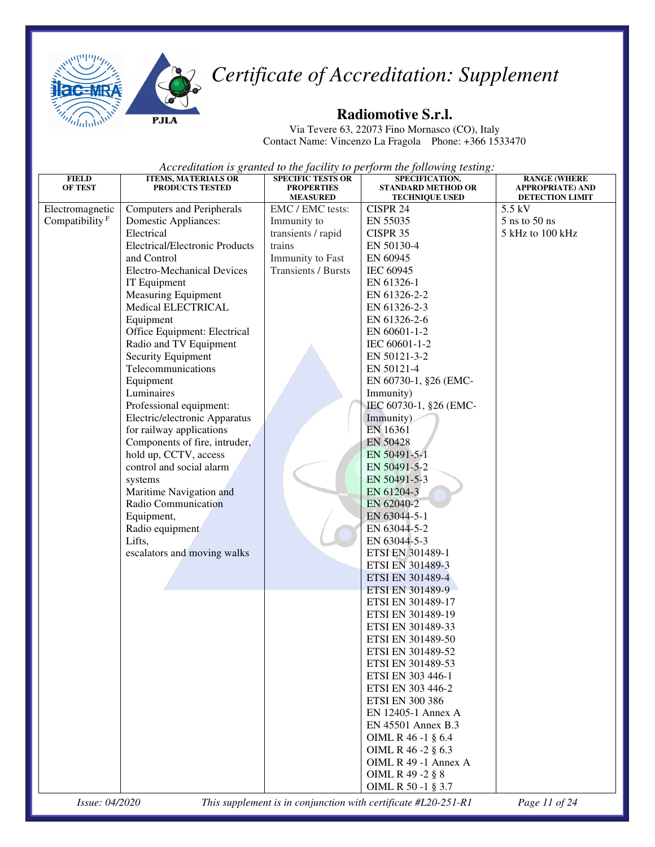



#### **Radiomotive S.r.l.**

Via Tevere 63, 22073 Fino Mornasco (CO), Italy Contact Name: Vincenzo La Fragola Phone: +366 1533470

*Accreditation is granted to the facility to perform the following testing:* 

| <b>FIELD</b>               | <b>ITEMS, MATERIALS OR</b>            | <b>SPECIFIC TESTS OR</b>             | SPECIFICATION,                                     | <b>RANGE (WHERE</b>                               |
|----------------------------|---------------------------------------|--------------------------------------|----------------------------------------------------|---------------------------------------------------|
| <b>OF TEST</b>             | PRODUCTS TESTED                       | <b>PROPERTIES</b><br><b>MEASURED</b> | <b>STANDARD METHOD OR</b><br><b>TECHNIQUE USED</b> | <b>APPROPRIATE) AND</b><br><b>DETECTION LIMIT</b> |
| Electromagnetic            | <b>Computers and Peripherals</b>      | EMC / EMC tests:                     | CISPR 24                                           | 5.5 kV                                            |
| Compatibility <sup>F</sup> | <b>Domestic Appliances:</b>           | Immunity to                          | EN 55035                                           | $5$ ns to $50$ ns                                 |
|                            | Electrical                            | transients / rapid                   | CISPR 35                                           | 5 kHz to 100 kHz                                  |
|                            | <b>Electrical/Electronic Products</b> | trains                               | EN 50130-4                                         |                                                   |
|                            | and Control                           | Immunity to Fast                     | EN 60945                                           |                                                   |
|                            | <b>Electro-Mechanical Devices</b>     | Transients / Bursts                  | IEC 60945                                          |                                                   |
|                            | IT Equipment                          |                                      | EN 61326-1                                         |                                                   |
|                            | Measuring Equipment                   |                                      | EN 61326-2-2                                       |                                                   |
|                            | Medical ELECTRICAL                    |                                      | EN 61326-2-3                                       |                                                   |
|                            | Equipment                             |                                      | EN 61326-2-6                                       |                                                   |
|                            | Office Equipment: Electrical          |                                      | EN 60601-1-2                                       |                                                   |
|                            | Radio and TV Equipment                |                                      | IEC 60601-1-2                                      |                                                   |
|                            | Security Equipment                    |                                      | EN 50121-3-2                                       |                                                   |
|                            | Telecommunications                    |                                      | EN 50121-4                                         |                                                   |
|                            | Equipment                             |                                      | EN 60730-1, §26 (EMC-                              |                                                   |
|                            | Luminaires                            |                                      | Immunity)                                          |                                                   |
|                            | Professional equipment:               |                                      | IEC 60730-1, §26 (EMC-                             |                                                   |
|                            | Electric/electronic Apparatus         |                                      | Immunity)                                          |                                                   |
|                            | for railway applications              |                                      | EN 16361                                           |                                                   |
|                            | Components of fire, intruder,         |                                      | EN 50428                                           |                                                   |
|                            | hold up, CCTV, access                 |                                      | EN 50491-5-1                                       |                                                   |
|                            | control and social alarm              |                                      | EN 50491-5-2                                       |                                                   |
|                            | systems                               |                                      | EN 50491-5-3                                       |                                                   |
|                            | Maritime Navigation and               |                                      | EN 61204-3                                         |                                                   |
|                            | Radio Communication                   |                                      | EN 62040-2                                         |                                                   |
|                            | Equipment,                            |                                      | EN 63044-5-1                                       |                                                   |
|                            | Radio equipment                       |                                      | EN 63044-5-2                                       |                                                   |
|                            | Lifts,                                |                                      | EN 63044-5-3                                       |                                                   |
|                            | escalators and moving walks           |                                      | ETSI EN 301489-1                                   |                                                   |
|                            |                                       |                                      | ETSI EN 301489-3                                   |                                                   |
|                            |                                       |                                      | ETSI EN 301489-4                                   |                                                   |
|                            |                                       |                                      | ETSI EN 301489-9                                   |                                                   |
|                            |                                       |                                      | ETSI EN 301489-17                                  |                                                   |
|                            |                                       |                                      | ETSI EN 301489-19                                  |                                                   |
|                            |                                       |                                      | ETSI EN 301489-33                                  |                                                   |
|                            |                                       |                                      | ETSI EN 301489-50                                  |                                                   |
|                            |                                       |                                      | ETSI EN 301489-52                                  |                                                   |
|                            |                                       |                                      | ETSI EN 301489-53                                  |                                                   |
|                            |                                       |                                      | ETSI EN 303 446-1                                  |                                                   |
|                            |                                       |                                      | ETSI EN 303 446-2                                  |                                                   |
|                            |                                       |                                      | <b>ETSI EN 300 386</b>                             |                                                   |
|                            |                                       |                                      | EN 12405-1 Annex A                                 |                                                   |
|                            |                                       |                                      | EN 45501 Annex B.3                                 |                                                   |
|                            |                                       |                                      | OIML R 46 -1 § 6.4                                 |                                                   |
|                            |                                       |                                      | OIML R 46 -2 § 6.3                                 |                                                   |
|                            |                                       |                                      | OIML R 49 -1 Annex A                               |                                                   |
|                            |                                       |                                      | OIML R 49 -2 § 8                                   |                                                   |
|                            |                                       |                                      | OIML R 50 -1 § 3.7                                 |                                                   |

*Issue: 04/2020 This supplement is in conjunction with certificate #L20-251-R1 Page 11 of 24*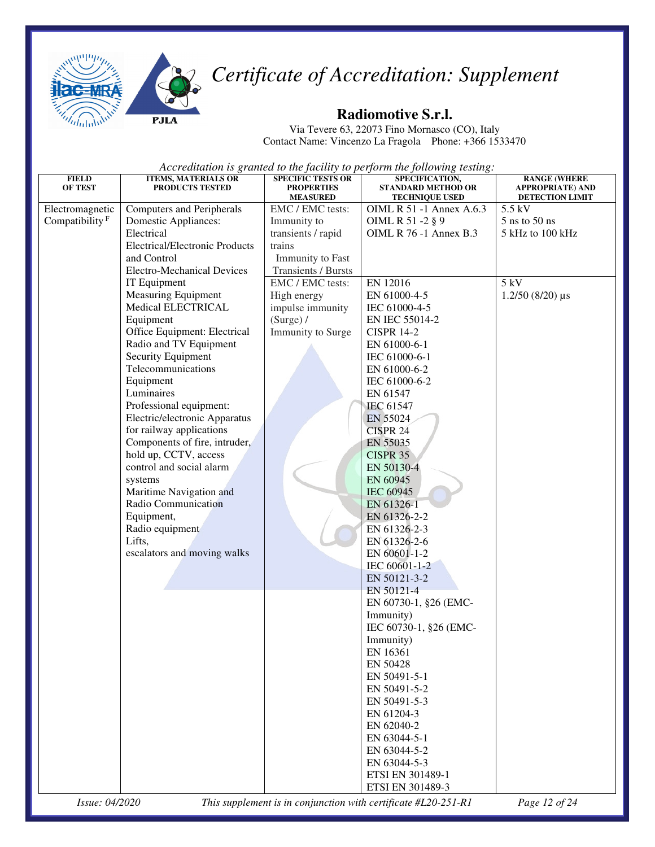



**PJL** 

## *Certificate of Accreditation: Supplement*

#### **Radiomotive S.r.l.**

Via Tevere 63, 22073 Fino Mornasco (CO), Italy Contact Name: Vincenzo La Fragola Phone: +366 1533470

*Accreditation is granted to the facility to perform the following testing:*

| <b>FIELD</b><br><b>OF TEST</b> | <b>ITEMS, MATERIALS OR</b><br><b>PRODUCTS TESTED</b> | <b>SPECIFIC TESTS OR</b><br><b>PROPERTIES</b><br><b>MEASURED</b> | SPECIFICATION,<br><b>STANDARD METHOD OR</b><br><b>TECHNIQUE USED</b> | <b>RANGE (WHERE</b><br><b>APPROPRIATE) AND</b><br>DETECTION LIMIT |
|--------------------------------|------------------------------------------------------|------------------------------------------------------------------|----------------------------------------------------------------------|-------------------------------------------------------------------|
| Electromagnetic                | <b>Computers and Peripherals</b>                     | EMC / EMC tests:                                                 | OIML R 51 -1 Annex A.6.3                                             | 5.5 kV                                                            |
| Compatibility <sup>F</sup>     | Domestic Appliances:                                 | Immunity to                                                      | OIML R 51 -2 § 9                                                     | $5$ ns to $50$ ns                                                 |
|                                | Electrical                                           | transients / rapid                                               | OIML R 76 -1 Annex B.3                                               | 5 kHz to 100 kHz                                                  |
|                                | <b>Electrical/Electronic Products</b>                | trains                                                           |                                                                      |                                                                   |
|                                | and Control                                          | Immunity to Fast                                                 |                                                                      |                                                                   |
|                                | <b>Electro-Mechanical Devices</b>                    | Transients / Bursts                                              |                                                                      |                                                                   |
|                                | IT Equipment                                         | EMC / EMC tests:                                                 | EN 12016                                                             | 5 kV                                                              |
|                                | <b>Measuring Equipment</b>                           | High energy                                                      | EN 61000-4-5                                                         | $1.2/50$ (8/20) $\mu s$                                           |
|                                | Medical ELECTRICAL                                   | impulse immunity                                                 | IEC 61000-4-5                                                        |                                                                   |
|                                | Equipment                                            | (Surge) /                                                        | EN IEC 55014-2                                                       |                                                                   |
|                                | Office Equipment: Electrical                         | Immunity to Surge                                                | <b>CISPR 14-2</b>                                                    |                                                                   |
|                                | Radio and TV Equipment                               |                                                                  | EN 61000-6-1                                                         |                                                                   |
|                                | Security Equipment                                   |                                                                  | IEC 61000-6-1                                                        |                                                                   |
|                                | Telecommunications                                   |                                                                  | EN 61000-6-2                                                         |                                                                   |
|                                | Equipment                                            |                                                                  | IEC 61000-6-2                                                        |                                                                   |
|                                | Luminaires                                           |                                                                  | EN 61547                                                             |                                                                   |
|                                | Professional equipment:                              |                                                                  | IEC 61547                                                            |                                                                   |
|                                | Electric/electronic Apparatus                        |                                                                  | EN 55024                                                             |                                                                   |
|                                | for railway applications                             |                                                                  | <b>CISPR 24</b>                                                      |                                                                   |
|                                | Components of fire, intruder,                        |                                                                  | EN 55035                                                             |                                                                   |
|                                | hold up, CCTV, access<br>control and social alarm    |                                                                  | CISPR 35                                                             |                                                                   |
|                                |                                                      |                                                                  | EN 50130-4                                                           |                                                                   |
|                                | systems<br>Maritime Navigation and                   |                                                                  | EN 60945<br>IEC 60945                                                |                                                                   |
|                                | Radio Communication                                  |                                                                  | EN 61326-1                                                           |                                                                   |
|                                | Equipment,                                           |                                                                  | EN 61326-2-2                                                         |                                                                   |
|                                | Radio equipment                                      |                                                                  | EN 61326-2-3                                                         |                                                                   |
|                                | Lifts,                                               |                                                                  | EN 61326-2-6                                                         |                                                                   |
|                                | escalators and moving walks                          |                                                                  | EN 60601-1-2                                                         |                                                                   |
|                                |                                                      |                                                                  | IEC 60601-1-2                                                        |                                                                   |
|                                |                                                      |                                                                  | EN 50121-3-2                                                         |                                                                   |
|                                |                                                      |                                                                  | EN 50121-4                                                           |                                                                   |
|                                |                                                      |                                                                  | EN 60730-1, §26 (EMC-                                                |                                                                   |
|                                |                                                      |                                                                  | Immunity)                                                            |                                                                   |
|                                |                                                      |                                                                  | IEC 60730-1, §26 (EMC-                                               |                                                                   |
|                                |                                                      |                                                                  | Immunity)                                                            |                                                                   |
|                                |                                                      |                                                                  | EN 16361                                                             |                                                                   |
|                                |                                                      |                                                                  | EN 50428                                                             |                                                                   |
|                                |                                                      |                                                                  | EN 50491-5-1                                                         |                                                                   |
|                                |                                                      |                                                                  | EN 50491-5-2                                                         |                                                                   |
|                                |                                                      |                                                                  | EN 50491-5-3                                                         |                                                                   |
|                                |                                                      |                                                                  | EN 61204-3                                                           |                                                                   |
|                                |                                                      |                                                                  | EN 62040-2                                                           |                                                                   |
|                                |                                                      |                                                                  | EN 63044-5-1                                                         |                                                                   |
|                                |                                                      |                                                                  | EN 63044-5-2                                                         |                                                                   |
|                                |                                                      |                                                                  | EN 63044-5-3<br>ETSI EN 301489-1                                     |                                                                   |
|                                |                                                      |                                                                  | ETSI EN 301489-3                                                     |                                                                   |
|                                |                                                      |                                                                  |                                                                      |                                                                   |

*Issue: 04/2020 This supplement is in conjunction with certificate #L20-251-R1 Page 12 of 24*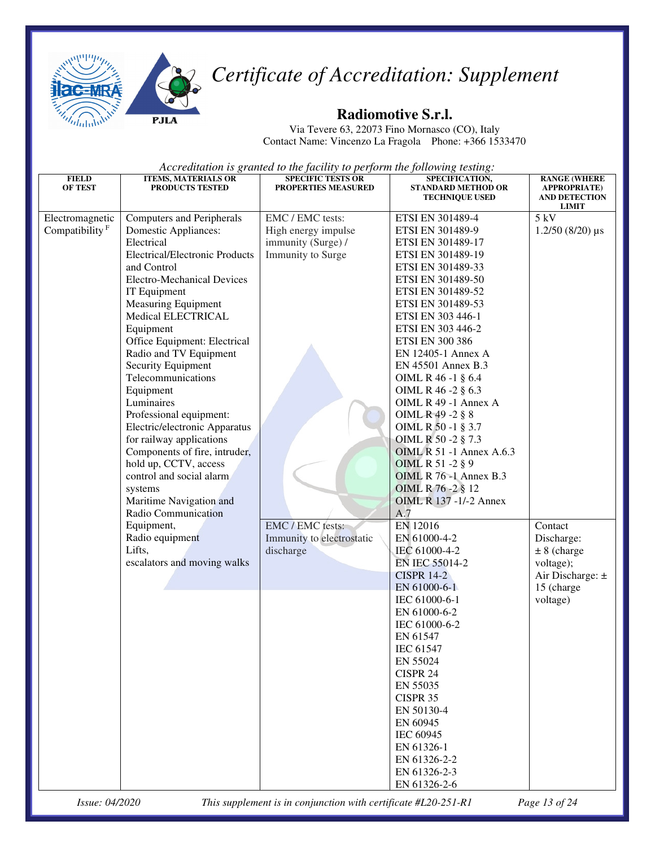



#### **Radiomotive S.r.l.**

Via Tevere 63, 22073 Fino Mornasco (CO), Italy Contact Name: Vincenzo La Fragola Phone: +366 1533470

*Accreditation is granted to the facility to perform the following testing:* 

| <b>FIELD</b><br><b>OF TEST</b>                | <b>ITEMS, MATERIALS OR</b><br><b>PRODUCTS TESTED</b>                                                                                                                                                                                                                                                                                                                                                                                                                                                                                                                                                                                    | <b>SPECIFIC TESTS OR</b><br><b>PROPERTIES MEASURED</b>                             | SPECIFICATION,<br><b>STANDARD METHOD OR</b><br><b>TECHNIQUE USED</b>                                                                                                                                                                                                                                                                                                                                                                                                                                                                                                 | <b>RANGE (WHERE</b><br><b>APPROPRIATE</b> )<br><b>AND DETECTION</b><br>LIMIT                          |
|-----------------------------------------------|-----------------------------------------------------------------------------------------------------------------------------------------------------------------------------------------------------------------------------------------------------------------------------------------------------------------------------------------------------------------------------------------------------------------------------------------------------------------------------------------------------------------------------------------------------------------------------------------------------------------------------------------|------------------------------------------------------------------------------------|----------------------------------------------------------------------------------------------------------------------------------------------------------------------------------------------------------------------------------------------------------------------------------------------------------------------------------------------------------------------------------------------------------------------------------------------------------------------------------------------------------------------------------------------------------------------|-------------------------------------------------------------------------------------------------------|
| Electromagnetic<br>Compatibility <sup>F</sup> | <b>Computers and Peripherals</b><br><b>Domestic Appliances:</b><br>Electrical<br><b>Electrical/Electronic Products</b><br>and Control<br><b>Electro-Mechanical Devices</b><br>IT Equipment<br><b>Measuring Equipment</b><br>Medical ELECTRICAL<br>Equipment<br>Office Equipment: Electrical<br>Radio and TV Equipment<br>Security Equipment<br>Telecommunications<br>Equipment<br>Luminaires<br>Professional equipment:<br>Electric/electronic Apparatus<br>for railway applications<br>Components of fire, intruder,<br>hold up, CCTV, access<br>control and social alarm<br>systems<br>Maritime Navigation and<br>Radio Communication | EMC / EMC tests:<br>High energy impulse<br>immunity (Surge) /<br>Immunity to Surge | ETSI EN 301489-4<br>ETSI EN 301489-9<br>ETSI EN 301489-17<br>ETSI EN 301489-19<br>ETSI EN 301489-33<br>ETSI EN 301489-50<br>ETSI EN 301489-52<br>ETSI EN 301489-53<br>ETSI EN 303 446-1<br>ETSI EN 303 446-2<br><b>ETSI EN 300 386</b><br>EN 12405-1 Annex A<br>EN 45501 Annex B.3<br>OIML R 46 -1 § 6.4<br>OIML R 46 -2 § 6.3<br>OIML R 49 -1 Annex A<br>OIML R 49 -2 § 8<br>OIML R 50 -1 § 3.7<br>OIML R 50 -2 § 7.3<br><b>OIML R 51 -1 Annex A.6.3</b><br>OIML R 51 -2 § 9<br><b>OIML R 76 -1 Annex B.3</b><br>OIML R 76 -2 § 12<br>OIML R 137 -1/-2 Annex<br>A.7 | 5 kV<br>$1.2/50$ (8/20) µs                                                                            |
|                                               | Equipment,<br>Radio equipment<br>Lifts,<br>escalators and moving walks                                                                                                                                                                                                                                                                                                                                                                                                                                                                                                                                                                  | EMC / EMC tests:<br>Immunity to electrostatic<br>discharge                         | EN 12016<br>EN 61000-4-2<br>IEC 61000-4-2<br>EN IEC 55014-2<br><b>CISPR 14-2</b><br>EN 61000-6-1<br>IEC 61000-6-1<br>EN 61000-6-2<br>IEC 61000-6-2<br>EN 61547<br>IEC 61547<br>EN 55024<br>CISPR 24<br>EN 55035<br><b>CISPR 35</b><br>EN 50130-4<br>EN 60945<br>IEC 60945<br>EN 61326-1<br>EN 61326-2-2<br>EN 61326-2-3<br>EN 61326-2-6                                                                                                                                                                                                                              | Contact<br>Discharge:<br>$± 8$ (charge<br>voltage);<br>Air Discharge: $\pm$<br>15 (charge<br>voltage) |

*Issue: 04/2020 This supplement is in conjunction with certificate #L20-251-R1 Page 13 of 24*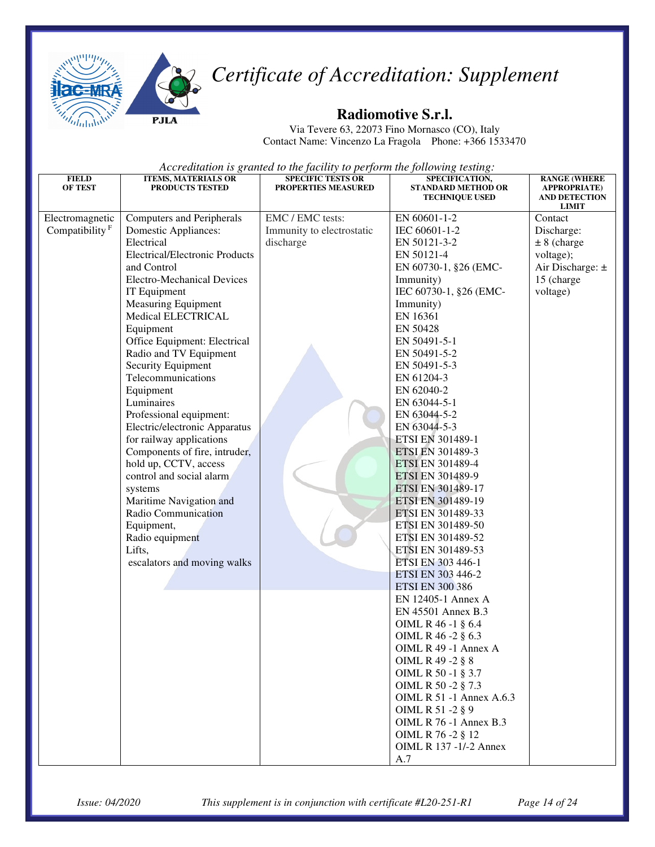



#### **Radiomotive S.r.l.**

Via Tevere 63, 22073 Fino Mornasco (CO), Italy Contact Name: Vincenzo La Fragola Phone: +366 1533470

| <b>FIELD</b><br><b>OF TEST</b>       | <b>ITEMS, MATERIALS OR</b><br><b>PRODUCTS TESTED</b>                                                                                                                                                                                                                                                                                                                                                                                                                                                                                                                                                                                                                                                              | <b>SPECIFIC TESTS OR</b><br>PROPERTIES MEASURED            | SPECIFICATION,<br><b>STANDARD METHOD OR</b><br><b>TECHNIQUE USED</b>                                                                                                                                                                                                                                                                                                                                                                                                                                                                                               | <b>RANGE (WHERE</b><br><b>APPROPRIATE</b> )<br><b>AND DETECTION</b><br><b>LIMIT</b>                   |
|--------------------------------------|-------------------------------------------------------------------------------------------------------------------------------------------------------------------------------------------------------------------------------------------------------------------------------------------------------------------------------------------------------------------------------------------------------------------------------------------------------------------------------------------------------------------------------------------------------------------------------------------------------------------------------------------------------------------------------------------------------------------|------------------------------------------------------------|--------------------------------------------------------------------------------------------------------------------------------------------------------------------------------------------------------------------------------------------------------------------------------------------------------------------------------------------------------------------------------------------------------------------------------------------------------------------------------------------------------------------------------------------------------------------|-------------------------------------------------------------------------------------------------------|
| Electromagnetic<br>Compatibility $F$ | <b>Computers and Peripherals</b><br><b>Domestic Appliances:</b><br>Electrical<br><b>Electrical/Electronic Products</b><br>and Control<br><b>Electro-Mechanical Devices</b><br>IT Equipment<br><b>Measuring Equipment</b><br>Medical ELECTRICAL<br>Equipment<br>Office Equipment: Electrical<br>Radio and TV Equipment<br>Security Equipment<br>Telecommunications<br>Equipment<br>Luminaires<br>Professional equipment:<br>Electric/electronic Apparatus<br>for railway applications<br>Components of fire, intruder,<br>hold up, CCTV, access<br>control and social alarm<br>systems<br>Maritime Navigation and<br>Radio Communication<br>Equipment,<br>Radio equipment<br>Lifts,<br>escalators and moving walks | EMC / EMC tests:<br>Immunity to electrostatic<br>discharge | EN 60601-1-2<br>IEC 60601-1-2<br>EN 50121-3-2<br>EN 50121-4<br>EN 60730-1, §26 (EMC-<br>Immunity)<br>IEC 60730-1, §26 (EMC-<br>Immunity)<br>EN 16361<br>EN 50428<br>EN 50491-5-1<br>EN 50491-5-2<br>EN 50491-5-3<br>EN 61204-3<br>EN 62040-2<br>EN 63044-5-1<br>EN 63044-5-2<br>EN 63044-5-3<br>ETSI EN 301489-1<br><b>ETSI EN 301489-3</b><br><b>ETSI EN 301489-4</b><br>ETSI EN 301489-9<br>ETSI EN 301489-17<br>ETSI EN 301489-19<br>ETSI EN 301489-33<br>ETSI EN 301489-50<br>ETSI EN 301489-52<br>ETSI EN 301489-53<br>ETSI EN 303 446-1<br>ETSI EN 303 446-2 | Contact<br>Discharge:<br>$± 8$ (charge<br>voltage);<br>Air Discharge: $\pm$<br>15 (charge<br>voltage) |
|                                      |                                                                                                                                                                                                                                                                                                                                                                                                                                                                                                                                                                                                                                                                                                                   |                                                            | <b>ETSI EN 300 386</b><br>EN 12405-1 Annex A<br>EN 45501 Annex B.3<br>OIML R 46 -1 § 6.4<br>OIML R 46 -2 § 6.3<br>OIML R 49 -1 Annex A<br>OIML R 49 -2 § 8<br>OIML R 50 -1 § 3.7<br>OIML R 50 -2 § 7.3<br>OIML R 51 -1 Annex A.6.3<br>OIML R 51 -2 § 9<br><b>OIML R 76 -1 Annex B.3</b><br>OIML R 76 -2 § 12<br>OIML R 137 -1/-2 Annex<br>A.7                                                                                                                                                                                                                      |                                                                                                       |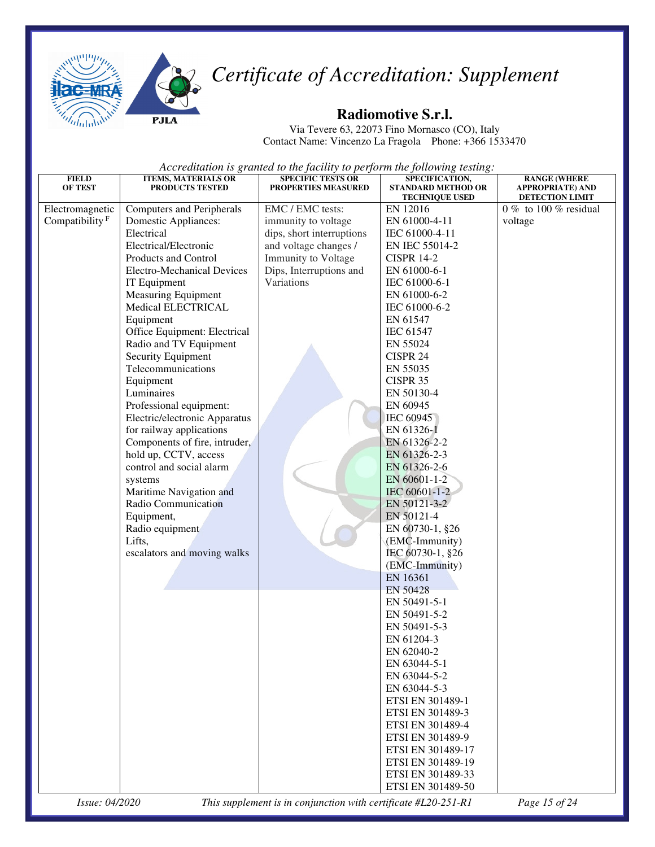



#### **Radiomotive S.r.l.**

Via Tevere 63, 22073 Fino Mornasco (CO), Italy Contact Name: Vincenzo La Fragola Phone: +366 1533470

*Accreditation is granted to the facility to perform the following testing:* 

| <b>FIELD</b>               | <b>ITEMS, MATERIALS OR</b>        | <b>SPECIFIC TESTS OR</b>  | SPECIFICATION,                                     | <b>RANGE (WHERE</b>                               |
|----------------------------|-----------------------------------|---------------------------|----------------------------------------------------|---------------------------------------------------|
| <b>OF TEST</b>             | <b>PRODUCTS TESTED</b>            | PROPERTIES MEASURED       | <b>STANDARD METHOD OR</b><br><b>TECHNIQUE USED</b> | <b>APPROPRIATE) AND</b><br><b>DETECTION LIMIT</b> |
| Electromagnetic            | <b>Computers and Peripherals</b>  | EMC / EMC tests:          | EN 12016                                           | 0 % to 100 % residual                             |
| Compatibility <sup>F</sup> | Domestic Appliances:              | immunity to voltage       | EN 61000-4-11                                      | voltage                                           |
|                            | Electrical                        | dips, short interruptions | IEC 61000-4-11                                     |                                                   |
|                            | Electrical/Electronic             | and voltage changes /     | EN IEC 55014-2                                     |                                                   |
|                            | Products and Control              | Immunity to Voltage       | <b>CISPR 14-2</b>                                  |                                                   |
|                            | <b>Electro-Mechanical Devices</b> | Dips, Interruptions and   | EN 61000-6-1                                       |                                                   |
|                            | IT Equipment                      | Variations                | IEC 61000-6-1                                      |                                                   |
|                            | <b>Measuring Equipment</b>        |                           | EN 61000-6-2                                       |                                                   |
|                            | Medical ELECTRICAL                |                           | IEC 61000-6-2                                      |                                                   |
|                            | Equipment                         |                           | EN 61547                                           |                                                   |
|                            | Office Equipment: Electrical      |                           | <b>IEC 61547</b>                                   |                                                   |
|                            | Radio and TV Equipment            |                           | EN 55024                                           |                                                   |
|                            | Security Equipment                |                           | CISPR 24                                           |                                                   |
|                            | Telecommunications                |                           | EN 55035                                           |                                                   |
|                            | Equipment                         |                           | CISPR 35                                           |                                                   |
|                            | Luminaires                        |                           | EN 50130-4                                         |                                                   |
|                            | Professional equipment:           |                           | EN 60945                                           |                                                   |
|                            | Electric/electronic Apparatus     |                           | IEC 60945                                          |                                                   |
|                            | for railway applications          |                           | EN 61326-1                                         |                                                   |
|                            | Components of fire, intruder,     |                           | EN 61326-2-2                                       |                                                   |
|                            | hold up, CCTV, access             |                           | EN 61326-2-3                                       |                                                   |
|                            | control and social alarm          |                           | EN 61326-2-6                                       |                                                   |
|                            | systems                           |                           | EN 60601-1-2                                       |                                                   |
|                            | Maritime Navigation and           |                           | IEC 60601-1-2                                      |                                                   |
|                            | Radio Communication               |                           | EN 50121-3-2                                       |                                                   |
|                            | Equipment,                        |                           | EN 50121-4                                         |                                                   |
|                            | Radio equipment                   |                           | EN 60730-1, §26                                    |                                                   |
|                            | Lifts,                            |                           | (EMC-Immunity)                                     |                                                   |
|                            | escalators and moving walks       |                           | IEC 60730-1, §26                                   |                                                   |
|                            |                                   |                           | (EMC-Immunity)<br>EN 16361                         |                                                   |
|                            |                                   |                           | <b>EN 50428</b>                                    |                                                   |
|                            |                                   |                           | EN 50491-5-1                                       |                                                   |
|                            |                                   |                           | EN 50491-5-2                                       |                                                   |
|                            |                                   |                           | EN 50491-5-3                                       |                                                   |
|                            |                                   |                           | EN 61204-3                                         |                                                   |
|                            |                                   |                           | EN 62040-2                                         |                                                   |
|                            |                                   |                           | EN 63044-5-1                                       |                                                   |
|                            |                                   |                           | EN 63044-5-2                                       |                                                   |
|                            |                                   |                           | EN 63044-5-3                                       |                                                   |
|                            |                                   |                           | ETSI EN 301489-1                                   |                                                   |
|                            |                                   |                           | ETSI EN 301489-3                                   |                                                   |
|                            |                                   |                           | ETSI EN 301489-4                                   |                                                   |
|                            |                                   |                           | ETSI EN 301489-9                                   |                                                   |
|                            |                                   |                           | ETSI EN 301489-17                                  |                                                   |
|                            |                                   |                           | ETSI EN 301489-19                                  |                                                   |
|                            |                                   |                           | ETSI EN 301489-33                                  |                                                   |
|                            |                                   |                           | ETSI EN 301489-50                                  |                                                   |
|                            |                                   |                           |                                                    |                                                   |

*Issue: 04/2020 This supplement is in conjunction with certificate #L20-251-R1 Page 15 of 24*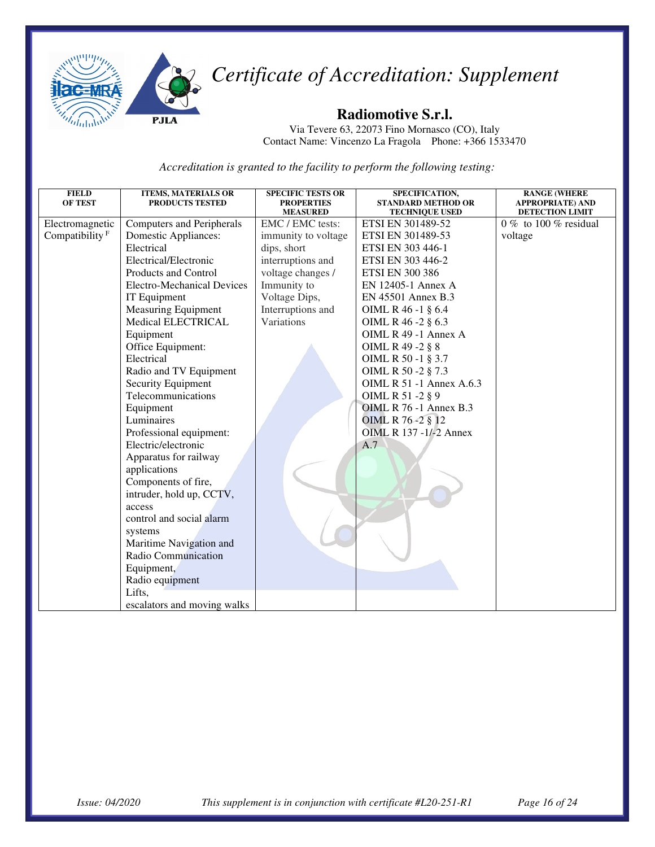

#### **Radiomotive S.r.l.**

Via Tevere 63, 22073 Fino Mornasco (CO), Italy Contact Name: Vincenzo La Fragola Phone: +366 1533470

| <b>FIELD</b>      | <b>ITEMS, MATERIALS OR</b>        | <b>SPECIFIC TESTS OR</b>            | SPECIFICATION,                             | <b>RANGE (WHERE</b>                      |
|-------------------|-----------------------------------|-------------------------------------|--------------------------------------------|------------------------------------------|
| <b>OF TEST</b>    | <b>PRODUCTS TESTED</b>            | <b>PROPERTIES</b>                   | <b>STANDARD METHOD OR</b>                  | <b>APPROPRIATE) AND</b>                  |
| Electromagnetic   | <b>Computers and Peripherals</b>  | <b>MEASURED</b><br>EMC / EMC tests: | <b>TECHNIQUE USED</b><br>ETSI EN 301489-52 | DETECTION LIMIT<br>0 % to 100 % residual |
|                   |                                   |                                     |                                            |                                          |
| Compatibility $F$ | <b>Domestic Appliances:</b>       | immunity to voltage                 | ETSI EN 301489-53                          | voltage                                  |
|                   | Electrical                        | dips, short                         | ETSI EN 303 446-1                          |                                          |
|                   | Electrical/Electronic             | interruptions and                   | ETSI EN 303 446-2                          |                                          |
|                   | Products and Control              | voltage changes /                   | <b>ETSI EN 300 386</b>                     |                                          |
|                   | <b>Electro-Mechanical Devices</b> | Immunity to                         | EN 12405-1 Annex A                         |                                          |
|                   | IT Equipment                      | Voltage Dips,                       | EN 45501 Annex B.3                         |                                          |
|                   | <b>Measuring Equipment</b>        | Interruptions and                   | OIML R 46 -1 § 6.4                         |                                          |
|                   | <b>Medical ELECTRICAL</b>         | Variations                          | OIML R 46 -2 § 6.3                         |                                          |
|                   | Equipment                         |                                     | OIML $R$ 49 -1 Annex A                     |                                          |
|                   | Office Equipment:                 |                                     | OIML R 49 -2 § 8                           |                                          |
|                   | Electrical                        |                                     | OIML R 50 -1 § 3.7                         |                                          |
|                   | Radio and TV Equipment            |                                     | OIML R 50 -2 § 7.3                         |                                          |
|                   | Security Equipment                |                                     | <b>OIML R 51 -1 Annex A.6.3</b>            |                                          |
|                   | Telecommunications                |                                     | OIML R 51 -2 § 9                           |                                          |
|                   | Equipment                         |                                     | <b>OIML R 76 -1 Annex B.3</b>              |                                          |
|                   | Luminaires                        |                                     | OIML R 76-2 § 12                           |                                          |
|                   | Professional equipment:           |                                     | OIML R 137 -1/-2 Annex                     |                                          |
|                   | Electric/electronic               |                                     | A.7                                        |                                          |
|                   | Apparatus for railway             |                                     |                                            |                                          |
|                   | applications                      |                                     |                                            |                                          |
|                   | Components of fire,               |                                     |                                            |                                          |
|                   | intruder, hold up, CCTV,          |                                     |                                            |                                          |
|                   | access                            |                                     |                                            |                                          |
|                   | control and social alarm          |                                     |                                            |                                          |
|                   | systems                           |                                     |                                            |                                          |
|                   | Maritime Navigation and           |                                     |                                            |                                          |
|                   | Radio Communication               |                                     |                                            |                                          |
|                   | Equipment,                        |                                     |                                            |                                          |
|                   |                                   |                                     |                                            |                                          |
|                   | Radio equipment                   |                                     |                                            |                                          |
|                   | Lifts,                            |                                     |                                            |                                          |
|                   | escalators and moving walks       |                                     |                                            |                                          |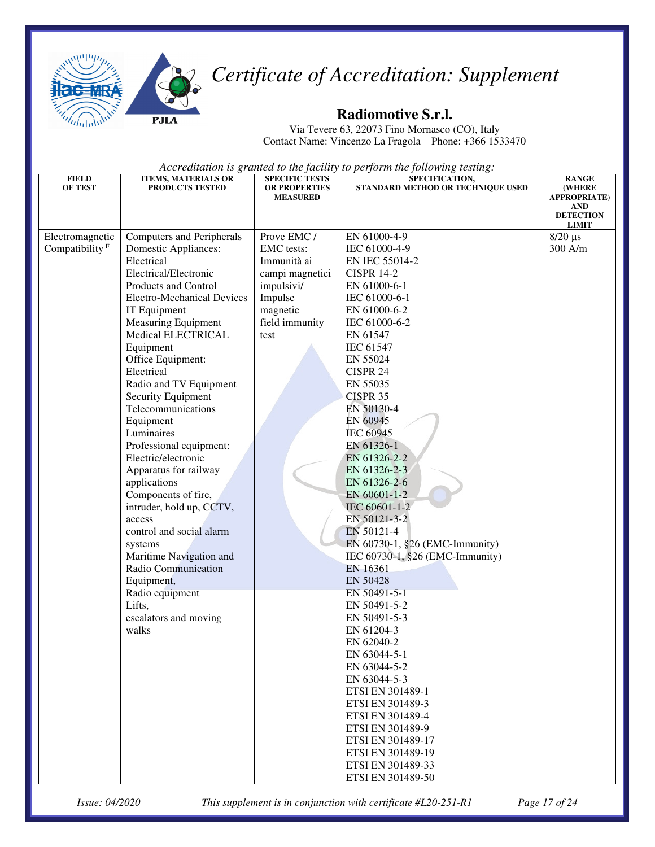



#### **Radiomotive S.r.l.**

Via Tevere 63, 22073 Fino Mornasco (CO), Italy Contact Name: Vincenzo La Fragola Phone: +366 1533470

*Accreditation is granted to the facility to perform the following testing:* 

| <b>FIELD</b>               | <b>ITEMS, MATERIALS OR</b>         | <b>SPECIFIC TESTS</b>            | SPECIFICATION,                    | <b>RANGE</b>                          |
|----------------------------|------------------------------------|----------------------------------|-----------------------------------|---------------------------------------|
| <b>OF TEST</b>             | <b>PRODUCTS TESTED</b>             | OR PROPERTIES<br><b>MEASURED</b> | STANDARD METHOD OR TECHNIQUE USED | <b>(WHERE)</b><br><b>APPROPRIATE)</b> |
|                            |                                    |                                  |                                   | <b>AND</b>                            |
|                            |                                    |                                  |                                   | <b>DETECTION</b><br><b>LIMIT</b>      |
| Electromagnetic            | Computers and Peripherals          | Prove EMC /                      | EN 61000-4-9                      | $8/20 \ \mu s$                        |
| Compatibility <sup>F</sup> | <b>Domestic Appliances:</b>        | <b>EMC</b> tests:                | IEC 61000-4-9                     | 300 A/m                               |
|                            | Electrical                         | Immunità ai                      | EN IEC 55014-2                    |                                       |
|                            | Electrical/Electronic              | campi magnetici                  | <b>CISPR 14-2</b>                 |                                       |
|                            | Products and Control               | impulsivi/                       | EN 61000-6-1                      |                                       |
|                            | <b>Electro-Mechanical Devices</b>  | Impulse                          | IEC 61000-6-1                     |                                       |
|                            | IT Equipment                       | magnetic                         | EN 61000-6-2                      |                                       |
|                            | <b>Measuring Equipment</b>         | field immunity                   | IEC 61000-6-2                     |                                       |
|                            | Medical ELECTRICAL                 | test                             | EN 61547                          |                                       |
|                            | Equipment                          |                                  | <b>IEC 61547</b>                  |                                       |
|                            | Office Equipment:                  |                                  | EN 55024                          |                                       |
|                            | Electrical                         |                                  | CISPR 24                          |                                       |
|                            | Radio and TV Equipment             |                                  | EN 55035                          |                                       |
|                            | Security Equipment                 |                                  | CISPR 35                          |                                       |
|                            | Telecommunications                 |                                  | EN 50130-4                        |                                       |
|                            | Equipment                          |                                  | EN 60945                          |                                       |
|                            | Luminaires                         |                                  | <b>IEC 60945</b>                  |                                       |
|                            | Professional equipment:            |                                  | EN 61326-1                        |                                       |
|                            | Electric/electronic                |                                  | EN 61326-2-2                      |                                       |
|                            | Apparatus for railway              |                                  | EN 61326-2-3                      |                                       |
|                            | applications                       |                                  | EN 61326-2-6                      |                                       |
|                            | Components of fire,                |                                  | EN 60601-1-2                      |                                       |
|                            | intruder, hold up, CCTV,<br>access |                                  | IEC 60601-1-2<br>EN 50121-3-2     |                                       |
|                            | control and social alarm           |                                  | EN 50121-4                        |                                       |
|                            | systems                            |                                  | EN 60730-1, §26 (EMC-Immunity)    |                                       |
|                            | Maritime Navigation and            |                                  | IEC 60730-1, §26 (EMC-Immunity)   |                                       |
|                            | Radio Communication                |                                  | EN 16361                          |                                       |
|                            | Equipment,                         |                                  | EN 50428                          |                                       |
|                            | Radio equipment                    |                                  | EN 50491-5-1                      |                                       |
|                            | Lifts,                             |                                  | EN 50491-5-2                      |                                       |
|                            | escalators and moving              |                                  | EN 50491-5-3                      |                                       |
|                            | walks                              |                                  | EN 61204-3                        |                                       |
|                            |                                    |                                  | EN 62040-2                        |                                       |
|                            |                                    |                                  | EN 63044-5-1                      |                                       |
|                            |                                    |                                  | EN 63044-5-2                      |                                       |
|                            |                                    |                                  | EN 63044-5-3                      |                                       |
|                            |                                    |                                  | ETSI EN 301489-1                  |                                       |
|                            |                                    |                                  | ETSI EN 301489-3                  |                                       |
|                            |                                    |                                  | ETSI EN 301489-4                  |                                       |
|                            |                                    |                                  | ETSI EN 301489-9                  |                                       |
|                            |                                    |                                  | ETSI EN 301489-17                 |                                       |
|                            |                                    |                                  | ETSI EN 301489-19                 |                                       |
|                            |                                    |                                  | ETSI EN 301489-33                 |                                       |
|                            |                                    |                                  | ETSI EN 301489-50                 |                                       |

*Issue: 04/2020 This supplement is in conjunction with certificate #L20-251-R1 Page 17 of 24*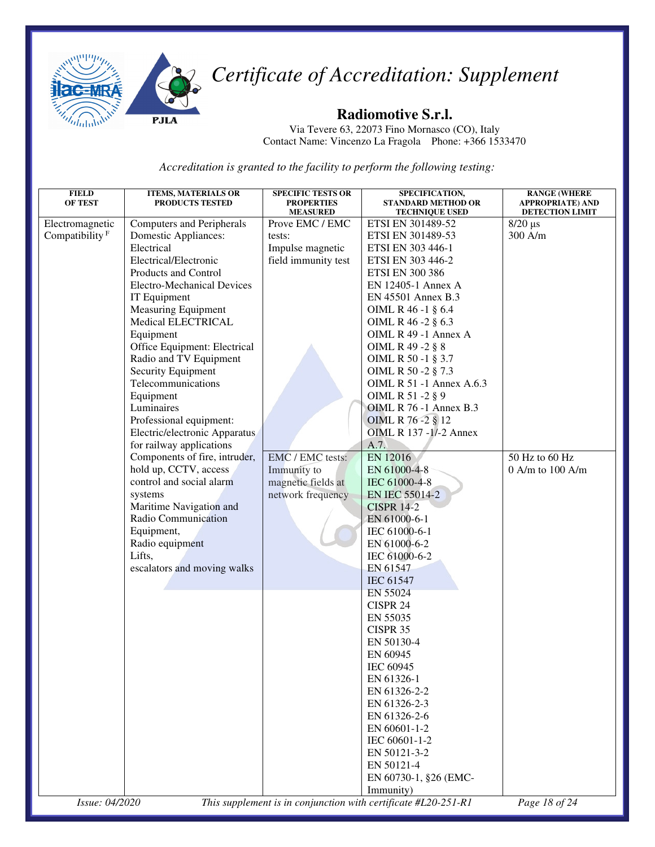

#### **Radiomotive S.r.l.**

Via Tevere 63, 22073 Fino Mornasco (CO), Italy Contact Name: Vincenzo La Fragola Phone: +366 1533470

| <b>FIELD</b>               | <b>ITEMS, MATERIALS OR</b>        | <b>SPECIFIC TESTS OR</b>             | SPECIFICATION,                                                 | <b>RANGE (WHERE</b>                               |
|----------------------------|-----------------------------------|--------------------------------------|----------------------------------------------------------------|---------------------------------------------------|
| <b>OF TEST</b>             | <b>PRODUCTS TESTED</b>            | <b>PROPERTIES</b><br><b>MEASURED</b> | <b>STANDARD METHOD OR</b><br><b>TECHNIQUE USED</b>             | <b>APPROPRIATE) AND</b><br><b>DETECTION LIMIT</b> |
| Electromagnetic            | <b>Computers and Peripherals</b>  | Prove EMC / EMC                      | ETSI EN 301489-52                                              | $8/20 \,\mu s$                                    |
| Compatibility <sup>F</sup> | <b>Domestic Appliances:</b>       | tests:                               | ETSI EN 301489-53                                              | 300 A/m                                           |
|                            | Electrical                        | Impulse magnetic                     | ETSI EN 303 446-1                                              |                                                   |
|                            | Electrical/Electronic             | field immunity test                  | ETSI EN 303 446-2                                              |                                                   |
|                            | Products and Control              |                                      | <b>ETSI EN 300 386</b>                                         |                                                   |
|                            | <b>Electro-Mechanical Devices</b> |                                      | EN 12405-1 Annex A                                             |                                                   |
|                            |                                   |                                      |                                                                |                                                   |
|                            | IT Equipment                      |                                      | EN 45501 Annex B.3                                             |                                                   |
|                            | <b>Measuring Equipment</b>        |                                      | OIML R 46 -1 § 6.4                                             |                                                   |
|                            | Medical ELECTRICAL                |                                      | OIML R 46 -2 § 6.3                                             |                                                   |
|                            | Equipment                         |                                      | OIML R 49 -1 Annex A                                           |                                                   |
|                            | Office Equipment: Electrical      |                                      | OIML R 49 -2 § 8                                               |                                                   |
|                            | Radio and TV Equipment            |                                      | OIML R 50 -1 § 3.7                                             |                                                   |
|                            | Security Equipment                |                                      | OIML R 50 -2 § 7.3                                             |                                                   |
|                            | Telecommunications                |                                      | OIML R 51 -1 Annex A.6.3                                       |                                                   |
|                            | Equipment                         |                                      | OIML R 51 -2 § 9                                               |                                                   |
|                            | Luminaires                        |                                      | OIML R 76 -1 Annex B.3                                         |                                                   |
|                            | Professional equipment:           |                                      | OIML R 76 - 2 § 12                                             |                                                   |
|                            | Electric/electronic Apparatus     |                                      | <b>OIML R 137 -1/-2 Annex</b>                                  |                                                   |
|                            | for railway applications          |                                      | A.7.                                                           |                                                   |
|                            | Components of fire, intruder,     | EMC / EMC tests:                     | EN 12016                                                       | 50 Hz to 60 Hz                                    |
|                            | hold up, CCTV, access             | Immunity to                          | EN 61000-4-8                                                   | 0 A/m to 100 A/m                                  |
|                            | control and social alarm          | magnetic fields at                   | IEC 61000-4-8                                                  |                                                   |
|                            | systems                           | network frequency                    | EN IEC 55014-2                                                 |                                                   |
|                            | Maritime Navigation and           |                                      | <b>CISPR 14-2</b>                                              |                                                   |
|                            | Radio Communication               |                                      | EN 61000-6-1                                                   |                                                   |
|                            | Equipment,                        |                                      | IEC 61000-6-1                                                  |                                                   |
|                            | Radio equipment                   |                                      | EN 61000-6-2                                                   |                                                   |
|                            | Lifts,                            |                                      | IEC 61000-6-2                                                  |                                                   |
|                            | escalators and moving walks       |                                      | EN 61547                                                       |                                                   |
|                            |                                   |                                      | IEC 61547                                                      |                                                   |
|                            |                                   |                                      | EN 55024                                                       |                                                   |
|                            |                                   |                                      | <b>CISPR 24</b>                                                |                                                   |
|                            |                                   |                                      | EN 55035                                                       |                                                   |
|                            |                                   |                                      | CISPR 35                                                       |                                                   |
|                            |                                   |                                      |                                                                |                                                   |
|                            |                                   |                                      | EN 50130-4                                                     |                                                   |
|                            |                                   |                                      | EN 60945                                                       |                                                   |
|                            |                                   |                                      | IEC 60945                                                      |                                                   |
|                            |                                   |                                      | EN 61326-1                                                     |                                                   |
|                            |                                   |                                      | EN 61326-2-2                                                   |                                                   |
|                            |                                   |                                      | EN 61326-2-3                                                   |                                                   |
|                            |                                   |                                      | EN 61326-2-6                                                   |                                                   |
|                            |                                   |                                      | EN 60601-1-2                                                   |                                                   |
|                            |                                   |                                      | IEC 60601-1-2                                                  |                                                   |
|                            |                                   |                                      | EN 50121-3-2                                                   |                                                   |
|                            |                                   |                                      | EN 50121-4                                                     |                                                   |
|                            |                                   |                                      | EN 60730-1, §26 (EMC-                                          |                                                   |
|                            |                                   |                                      | Immunity)                                                      |                                                   |
| Issue: 04/2020             |                                   |                                      | This supplement is in conjunction with certificate #L20-251-R1 | Page 18 of 24                                     |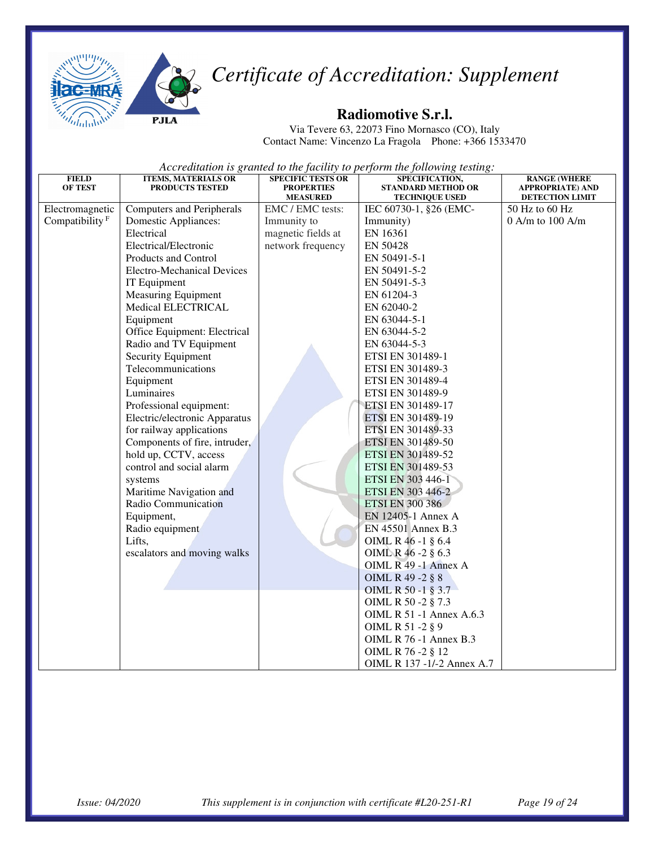



#### **Radiomotive S.r.l.**

Via Tevere 63, 22073 Fino Mornasco (CO), Italy Contact Name: Vincenzo La Fragola Phone: +366 1533470

| <b>FIELD</b><br><b>OF TEST</b> | <b>ITEMS, MATERIALS OR</b><br>PRODUCTS TESTED | <b>SPECIFIC TESTS OR</b><br><b>PROPERTIES</b> | SPECIFICATION,<br><b>STANDARD METHOD OR</b> | <b>RANGE (WHERE</b><br><b>APPROPRIATE) AND</b> |
|--------------------------------|-----------------------------------------------|-----------------------------------------------|---------------------------------------------|------------------------------------------------|
|                                |                                               | <b>MEASURED</b>                               | <b>TECHNIQUE USED</b>                       | <b>DETECTION LIMIT</b>                         |
| Electromagnetic                | <b>Computers and Peripherals</b>              | EMC / EMC tests:                              | IEC 60730-1, §26 (EMC-                      | 50 Hz to 60 Hz                                 |
| Compatibility <sup>F</sup>     | <b>Domestic Appliances:</b>                   | Immunity to                                   | Immunity)                                   | $0$ A/m to $100$ A/m                           |
|                                | Electrical                                    | magnetic fields at                            | EN 16361                                    |                                                |
|                                | Electrical/Electronic                         | network frequency                             | EN 50428                                    |                                                |
|                                | Products and Control                          |                                               | EN 50491-5-1                                |                                                |
|                                | <b>Electro-Mechanical Devices</b>             |                                               | EN 50491-5-2                                |                                                |
|                                | IT Equipment                                  |                                               | EN 50491-5-3                                |                                                |
|                                | <b>Measuring Equipment</b>                    |                                               | EN 61204-3                                  |                                                |
|                                | Medical ELECTRICAL                            |                                               | EN 62040-2                                  |                                                |
|                                | Equipment                                     |                                               | EN 63044-5-1                                |                                                |
|                                | Office Equipment: Electrical                  |                                               | EN 63044-5-2                                |                                                |
|                                | Radio and TV Equipment                        |                                               | EN 63044-5-3                                |                                                |
|                                | <b>Security Equipment</b>                     |                                               | <b>ETSI EN 301489-1</b>                     |                                                |
|                                | Telecommunications                            |                                               | ETSI EN 301489-3                            |                                                |
|                                | Equipment                                     |                                               | ETSI EN 301489-4                            |                                                |
|                                | Luminaires                                    |                                               | ETSI EN 301489-9                            |                                                |
|                                | Professional equipment:                       |                                               | ETSI EN 301489-17                           |                                                |
|                                | Electric/electronic Apparatus                 |                                               | ETSI EN 301489-19                           |                                                |
|                                | for railway applications                      |                                               | ETSI EN 301489-33                           |                                                |
|                                | Components of fire, intruder,                 |                                               | ETSI EN 301489-50                           |                                                |
|                                | hold up, CCTV, access                         |                                               | ETSI EN 301489-52                           |                                                |
|                                | control and social alarm                      |                                               | ETSI EN 301489-53                           |                                                |
|                                | systems                                       |                                               | ETSI EN 303 446-1                           |                                                |
|                                | Maritime Navigation and                       |                                               | ETSI EN 303 446-2                           |                                                |
|                                | Radio Communication                           |                                               | <b>ETSI EN 300 386</b>                      |                                                |
|                                | Equipment,                                    |                                               | EN 12405-1 Annex A                          |                                                |
|                                | Radio equipment                               |                                               | EN 45501 Annex B.3                          |                                                |
|                                | Lifts,                                        |                                               | OIML R 46 -1 § 6.4                          |                                                |
|                                | escalators and moving walks                   |                                               | OIML R 46 -2 § 6.3                          |                                                |
|                                |                                               |                                               | OIML R 49 -1 Annex A                        |                                                |
|                                |                                               |                                               | OIML R 49 -2 § 8                            |                                                |
|                                |                                               |                                               | OIML R 50 -1 § 3.7                          |                                                |
|                                |                                               |                                               | OIML R 50 -2 § 7.3                          |                                                |
|                                |                                               |                                               | OIML R 51 -1 Annex A.6.3                    |                                                |
|                                |                                               |                                               | OIML R 51 -2 § 9                            |                                                |
|                                |                                               |                                               | <b>OIML R 76 -1 Annex B.3</b>               |                                                |
|                                |                                               |                                               | OIML R 76 -2 § 12                           |                                                |
|                                |                                               |                                               | OIML R 137 -1/-2 Annex A.7                  |                                                |
|                                |                                               |                                               |                                             |                                                |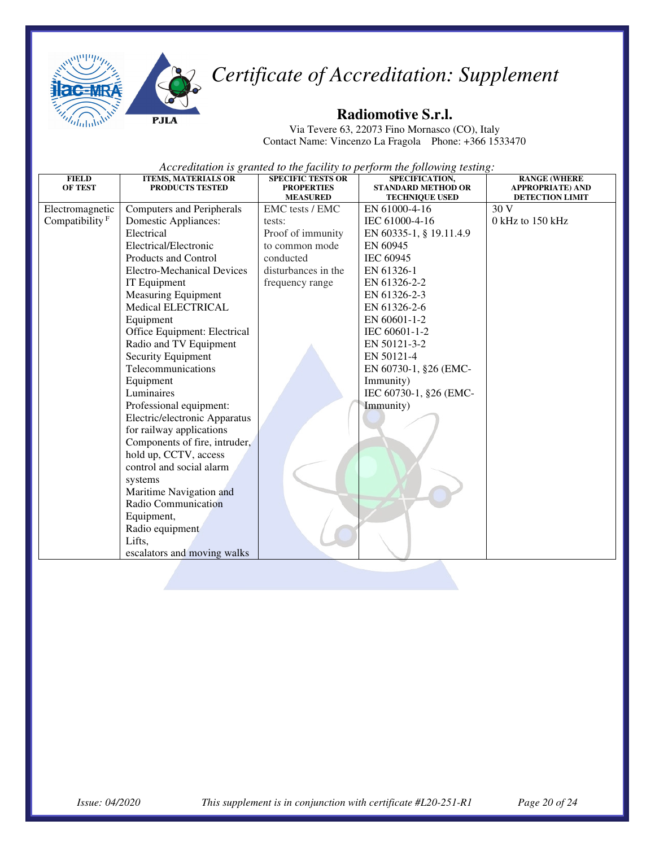



#### **Radiomotive S.r.l.**

Via Tevere 63, 22073 Fino Mornasco (CO), Italy Contact Name: Vincenzo La Fragola Phone: +366 1533470

| <b>FIELD</b><br><b>OF TEST</b> | <b>ITEMS, MATERIALS OR</b><br><b>PRODUCTS TESTED</b> | <b>SPECIFIC TESTS OR</b><br><b>PROPERTIES</b> | SPECIFICATION,<br><b>STANDARD METHOD OR</b> | <b>RANGE (WHERE</b><br><b>APPROPRIATE) AND</b> |
|--------------------------------|------------------------------------------------------|-----------------------------------------------|---------------------------------------------|------------------------------------------------|
|                                |                                                      | <b>MEASURED</b>                               | <b>TECHNIQUE USED</b>                       | <b>DETECTION LIMIT</b>                         |
| Electromagnetic                | <b>Computers and Peripherals</b>                     | EMC tests / EMC                               | EN 61000-4-16                               | 30 V                                           |
| Compatibility <sup>F</sup>     | Domestic Appliances:                                 | tests:                                        | IEC 61000-4-16                              | 0 kHz to 150 kHz                               |
|                                | Electrical                                           | Proof of immunity                             | EN 60335-1, § 19.11.4.9                     |                                                |
|                                | Electrical/Electronic                                | to common mode                                | EN 60945                                    |                                                |
|                                | Products and Control                                 | conducted                                     | IEC 60945                                   |                                                |
|                                | Electro-Mechanical Devices                           | disturbances in the                           | EN 61326-1                                  |                                                |
|                                | IT Equipment                                         | frequency range                               | EN 61326-2-2                                |                                                |
|                                | <b>Measuring Equipment</b>                           |                                               | EN 61326-2-3                                |                                                |
|                                | Medical ELECTRICAL                                   |                                               | EN 61326-2-6                                |                                                |
|                                | Equipment                                            |                                               | EN 60601-1-2                                |                                                |
|                                | Office Equipment: Electrical                         |                                               | IEC 60601-1-2                               |                                                |
|                                | Radio and TV Equipment                               |                                               | EN 50121-3-2                                |                                                |
|                                | Security Equipment                                   |                                               | EN 50121-4                                  |                                                |
|                                | Telecommunications                                   |                                               | EN 60730-1, §26 (EMC-                       |                                                |
|                                | Equipment                                            |                                               | Immunity)                                   |                                                |
|                                | Luminaires                                           |                                               | IEC 60730-1, §26 (EMC-                      |                                                |
|                                | Professional equipment:                              |                                               | Immunity)                                   |                                                |
|                                | Electric/electronic Apparatus                        |                                               |                                             |                                                |
|                                | for railway applications                             |                                               |                                             |                                                |
|                                | Components of fire, intruder,                        |                                               |                                             |                                                |
|                                | hold up, CCTV, access                                |                                               |                                             |                                                |
|                                | control and social alarm                             |                                               |                                             |                                                |
|                                | systems                                              |                                               |                                             |                                                |
|                                | Maritime Navigation and                              |                                               |                                             |                                                |
|                                | Radio Communication                                  |                                               |                                             |                                                |
|                                | Equipment,                                           |                                               |                                             |                                                |
|                                | Radio equipment                                      |                                               |                                             |                                                |
|                                | Lifts,                                               |                                               |                                             |                                                |
|                                | escalators and moving walks                          |                                               |                                             |                                                |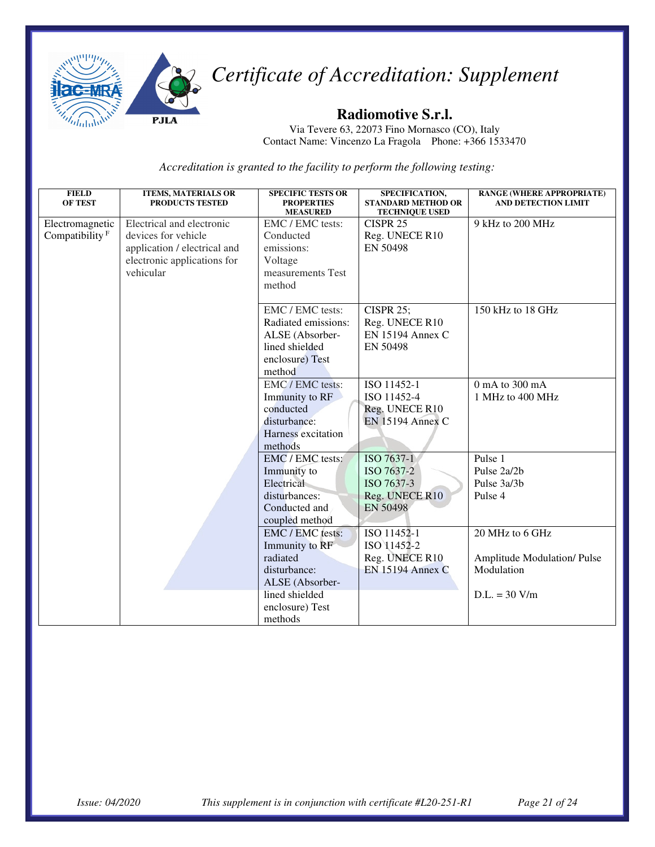

#### **Radiomotive S.r.l.**

Via Tevere 63, 22073 Fino Mornasco (CO), Italy Contact Name: Vincenzo La Fragola Phone: +366 1533470

| <b>FIELD</b><br><b>OF TEST</b>       | <b>ITEMS, MATERIALS OR</b><br>PRODUCTS TESTED                                                                                | <b>SPECIFIC TESTS OR</b><br><b>PROPERTIES</b><br><b>MEASURED</b>                                                                  | SPECIFICATION,<br><b>STANDARD METHOD OR</b><br><b>TECHNIQUE USED</b>      | <b>RANGE (WHERE APPROPRIATE)</b><br><b>AND DETECTION LIMIT</b>                        |
|--------------------------------------|------------------------------------------------------------------------------------------------------------------------------|-----------------------------------------------------------------------------------------------------------------------------------|---------------------------------------------------------------------------|---------------------------------------------------------------------------------------|
| Electromagnetic<br>Compatibility $F$ | Electrical and electronic<br>devices for vehicle<br>application / electrical and<br>electronic applications for<br>vehicular | EMC / EMC tests:<br>Conducted<br>emissions:<br>Voltage<br>measurements Test<br>method                                             | CISPR <sub>25</sub><br>Reg. UNECE R10<br>EN 50498                         | 9 kHz to 200 MHz                                                                      |
|                                      |                                                                                                                              | EMC / EMC tests:<br>Radiated emissions:<br>ALSE (Absorber-<br>lined shielded<br>enclosure) Test<br>method                         | <b>CISPR 25;</b><br>Reg. UNECE R10<br><b>EN 15194 Annex C</b><br>EN 50498 | 150 kHz to 18 GHz                                                                     |
|                                      |                                                                                                                              | EMC / EMC tests:<br>Immunity to RF<br>conducted<br>disturbance:<br>Harness excitation<br>methods                                  | ISO 11452-1<br>ISO 11452-4<br>Reg. UNECE R10<br><b>EN 15194 Annex C</b>   | 0 mA to 300 mA<br>1 MHz to 400 MHz                                                    |
|                                      |                                                                                                                              | EMC / EMC tests:<br>Immunity to<br>Electrical<br>disturbances:<br>Conducted and<br>coupled method                                 | ISO 7637-1<br>ISO 7637-2<br>ISO 7637-3<br>Reg. UNECE R10<br>EN 50498      | Pulse 1<br>Pulse 2a/2b<br>Pulse 3a/3b<br>Pulse 4                                      |
|                                      |                                                                                                                              | EMC / EMC tests:<br>Immunity to RF<br>radiated<br>disturbance:<br>ALSE (Absorber-<br>lined shielded<br>enclosure) Test<br>methods | ISO 11452-1<br>ISO 11452-2<br>Reg. UNECE R10<br><b>EN 15194 Annex C</b>   | 20 MHz to 6 GHz<br><b>Amplitude Modulation/Pulse</b><br>Modulation<br>$D.L. = 30 V/m$ |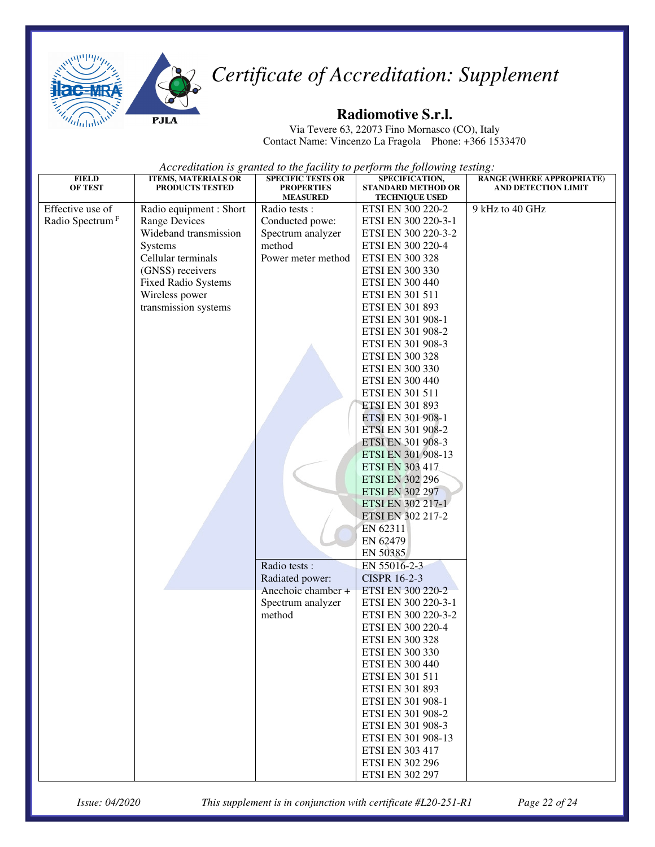

#### **Radiomotive S.r.l.**

Via Tevere 63, 22073 Fino Mornasco (CO), Italy Contact Name: Vincenzo La Fragola Phone: +366 1533470

*Accreditation is granted to the facility to perform the following testing:* 

| <b>FIELD</b>                | <b>ITEMS, MATERIALS OR</b> | <b>SPECIFIC TESTS OR</b>             | SPECIFICATION,                                     | <b>RANGE (WHERE APPROPRIATE)</b> |
|-----------------------------|----------------------------|--------------------------------------|----------------------------------------------------|----------------------------------|
| OF TEST                     | PRODUCTS TESTED            | <b>PROPERTIES</b><br><b>MEASURED</b> | <b>STANDARD METHOD OR</b><br><b>TECHNIQUE USED</b> | <b>AND DETECTION LIMIT</b>       |
| Effective use of            | Radio equipment : Short    | Radio tests :                        | ETSI EN 300 220-2                                  | 9 kHz to 40 GHz                  |
| Radio Spectrum <sup>F</sup> | <b>Range Devices</b>       | Conducted powe:                      | ETSI EN 300 220-3-1                                |                                  |
|                             | Wideband transmission      | Spectrum analyzer                    | ETSI EN 300 220-3-2                                |                                  |
|                             | <b>Systems</b>             | method                               | ETSI EN 300 220-4                                  |                                  |
|                             | Cellular terminals         | Power meter method                   | <b>ETSI EN 300 328</b>                             |                                  |
|                             | (GNSS) receivers           |                                      | <b>ETSI EN 300 330</b>                             |                                  |
|                             | <b>Fixed Radio Systems</b> |                                      | <b>ETSI EN 300 440</b>                             |                                  |
|                             | Wireless power             |                                      | ETSI EN 301 511                                    |                                  |
|                             | transmission systems       |                                      | <b>ETSI EN 301 893</b>                             |                                  |
|                             |                            |                                      | ETSI EN 301 908-1                                  |                                  |
|                             |                            |                                      | ETSI EN 301 908-2                                  |                                  |
|                             |                            |                                      | ETSI EN 301 908-3                                  |                                  |
|                             |                            |                                      | <b>ETSI EN 300 328</b>                             |                                  |
|                             |                            |                                      | <b>ETSI EN 300 330</b>                             |                                  |
|                             |                            |                                      | <b>ETSI EN 300 440</b>                             |                                  |
|                             |                            |                                      | ETSI EN 301 511                                    |                                  |
|                             |                            |                                      | <b>ETSI EN 301 893</b>                             |                                  |
|                             |                            |                                      | ETSI EN 301 908-1                                  |                                  |
|                             |                            |                                      | ETSI EN 301 908-2                                  |                                  |
|                             |                            |                                      | ETSI EN 301 908-3                                  |                                  |
|                             |                            |                                      | ETSI EN 301 908-13                                 |                                  |
|                             |                            |                                      | <b>ETSI EN 303 417</b>                             |                                  |
|                             |                            |                                      | <b>ETSI EN 302 296</b>                             |                                  |
|                             |                            |                                      | <b>ETSI EN 302 297</b>                             |                                  |
|                             |                            |                                      | ETSI EN 302 217-1                                  |                                  |
|                             |                            |                                      | ETSI EN 302 217-2                                  |                                  |
|                             |                            |                                      | EN 62311                                           |                                  |
|                             |                            |                                      | EN 62479                                           |                                  |
|                             |                            |                                      | EN 50385                                           |                                  |
|                             |                            | Radio tests:                         | EN 55016-2-3                                       |                                  |
|                             |                            | Radiated power:                      | <b>CISPR 16-2-3</b>                                |                                  |
|                             |                            | Anechoic chamber +                   | ETSI EN 300 220-2                                  |                                  |
|                             |                            | Spectrum analyzer                    | ETSI EN 300 220-3-1                                |                                  |
|                             |                            | method                               | ETSI EN 300 220-3-2                                |                                  |
|                             |                            |                                      | ETSI EN 300 220-4                                  |                                  |
|                             |                            |                                      | <b>ETSI EN 300 328</b>                             |                                  |
|                             |                            |                                      | ETSI EN 300 330                                    |                                  |
|                             |                            |                                      | <b>ETSI EN 300 440</b>                             |                                  |
|                             |                            |                                      | <b>ETSI EN 301 511</b>                             |                                  |
|                             |                            |                                      | ETSI EN 301 893                                    |                                  |
|                             |                            |                                      | ETSI EN 301 908-1                                  |                                  |
|                             |                            |                                      | ETSI EN 301 908-2                                  |                                  |
|                             |                            |                                      | ETSI EN 301 908-3                                  |                                  |
|                             |                            |                                      | ETSI EN 301 908-13                                 |                                  |
|                             |                            |                                      | <b>ETSI EN 303 417</b>                             |                                  |
|                             |                            |                                      | <b>ETSI EN 302 296</b>                             |                                  |
|                             |                            |                                      | <b>ETSI EN 302 297</b>                             |                                  |

*Issue: 04/2020 This supplement is in conjunction with certificate #L20-251-R1 Page 22 of 24*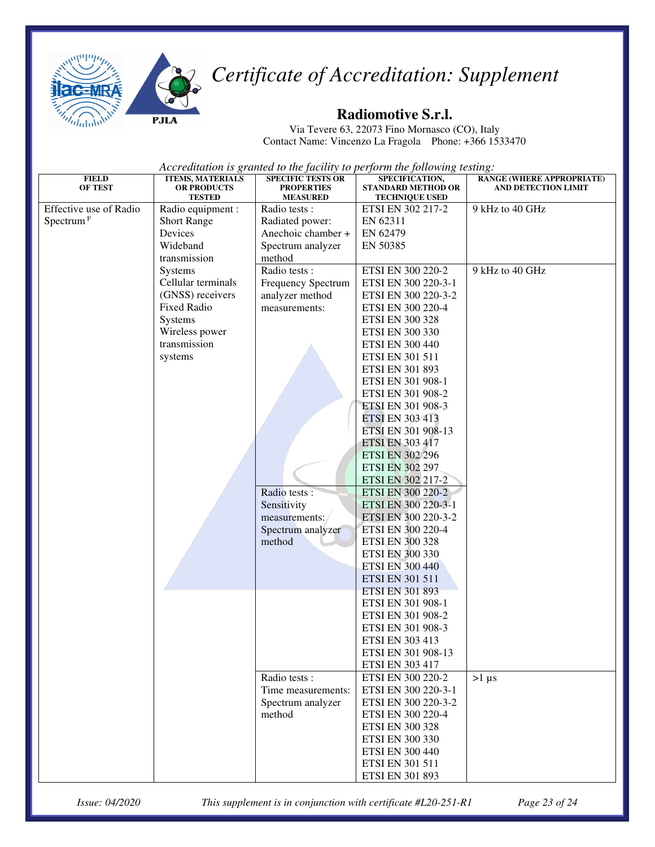

#### **Radiomotive S.r.l.**

Via Tevere 63, 22073 Fino Mornasco (CO), Italy Contact Name: Vincenzo La Fragola Phone: +366 1533470

*Accreditation is granted to the facility to perform the following testing:*

| <b>FIELD</b><br><b>OF TEST</b> | <b>ITEMS, MATERIALS</b><br><b>OR PRODUCTS</b> | <b>SPECIFIC TESTS OR</b><br><b>PROPERTIES</b> | SPECIFICATION,<br><b>STANDARD METHOD OR</b> | <b>RANGE (WHERE APPROPRIATE)</b><br><b>AND DETECTION LIMIT</b> |
|--------------------------------|-----------------------------------------------|-----------------------------------------------|---------------------------------------------|----------------------------------------------------------------|
|                                | <b>TESTED</b>                                 | <b>MEASURED</b>                               | <b>TECHNIQUE USED</b>                       |                                                                |
| Effective use of Radio         | Radio equipment :                             | Radio tests :                                 | ETSI EN 302 217-2                           | 9 kHz to 40 GHz                                                |
| Spectrum <sup>F</sup>          | <b>Short Range</b>                            | Radiated power:                               | EN 62311                                    |                                                                |
|                                | Devices                                       | Anechoic chamber +                            | EN 62479                                    |                                                                |
|                                | Wideband                                      | Spectrum analyzer                             | EN 50385                                    |                                                                |
|                                | transmission                                  | method                                        |                                             |                                                                |
|                                | <b>Systems</b>                                | Radio tests:                                  | ETSI EN 300 220-2                           | 9 kHz to 40 GHz                                                |
|                                | Cellular terminals                            | <b>Frequency Spectrum</b>                     | ETSI EN 300 220-3-1                         |                                                                |
|                                | (GNSS) receivers                              | analyzer method                               | ETSI EN 300 220-3-2                         |                                                                |
|                                | <b>Fixed Radio</b>                            | measurements:                                 | ETSI EN 300 220-4                           |                                                                |
|                                | Systems                                       |                                               | <b>ETSI EN 300 328</b>                      |                                                                |
|                                | Wireless power                                |                                               | <b>ETSI EN 300 330</b>                      |                                                                |
|                                | transmission                                  |                                               | <b>ETSI EN 300 440</b>                      |                                                                |
|                                | systems                                       |                                               | ETSI EN 301 511                             |                                                                |
|                                |                                               |                                               | ETSI EN 301 893                             |                                                                |
|                                |                                               |                                               | ETSI EN 301 908-1                           |                                                                |
|                                |                                               |                                               | ETSI EN 301 908-2                           |                                                                |
|                                |                                               |                                               | ETSI EN 301 908-3                           |                                                                |
|                                |                                               |                                               | <b>ETSI EN 303 413</b>                      |                                                                |
|                                |                                               |                                               | ETSI EN 301 908-13                          |                                                                |
|                                |                                               |                                               | <b>ETSI EN 303 417</b>                      |                                                                |
|                                |                                               |                                               | <b>ETSI EN 302 296</b>                      |                                                                |
|                                |                                               |                                               | <b>ETSI EN 302 297</b>                      |                                                                |
|                                |                                               | Radio tests :                                 | ETSI EN 302 217-2                           |                                                                |
|                                |                                               | Sensitivity                                   | ETSI EN 300 220-2<br>ETSI EN 300 220-3-1    |                                                                |
|                                |                                               | measurements:/                                | ETSI EN 300 220-3-2                         |                                                                |
|                                |                                               | Spectrum analyzer                             | ETSI EN 300 220-4                           |                                                                |
|                                |                                               | method                                        | <b>ETSI EN 300 328</b>                      |                                                                |
|                                |                                               |                                               | <b>ETSI EN 300 330</b>                      |                                                                |
|                                |                                               |                                               | <b>ETSI EN 300 440</b>                      |                                                                |
|                                |                                               |                                               | <b>ETSI EN 301 511</b>                      |                                                                |
|                                |                                               |                                               | <b>ETSI EN 301 893</b>                      |                                                                |
|                                |                                               |                                               | ETSI EN 301 908-1                           |                                                                |
|                                |                                               |                                               | ETSI EN 301 908-2                           |                                                                |
|                                |                                               |                                               | ETSI EN 301 908-3                           |                                                                |
|                                |                                               |                                               | <b>ETSI EN 303 413</b>                      |                                                                |
|                                |                                               |                                               | ETSI EN 301 908-13                          |                                                                |
|                                |                                               |                                               | <b>ETSI EN 303 417</b>                      |                                                                |
|                                |                                               | Radio tests:                                  | ETSI EN 300 220-2                           | $>1 \mu s$                                                     |
|                                |                                               | Time measurements:                            | ETSI EN 300 220-3-1                         |                                                                |
|                                |                                               | Spectrum analyzer                             | ETSI EN 300 220-3-2                         |                                                                |
|                                |                                               | method                                        | ETSI EN 300 220-4                           |                                                                |
|                                |                                               |                                               | <b>ETSI EN 300 328</b>                      |                                                                |
|                                |                                               |                                               | ETSI EN 300 330                             |                                                                |
|                                |                                               |                                               | <b>ETSI EN 300 440</b>                      |                                                                |
|                                |                                               |                                               | ETSI EN 301 511                             |                                                                |
|                                |                                               |                                               | ETSI EN 301 893                             |                                                                |

*Issue: 04/2020 This supplement is in conjunction with certificate #L20-251-R1 Page 23 of 24*